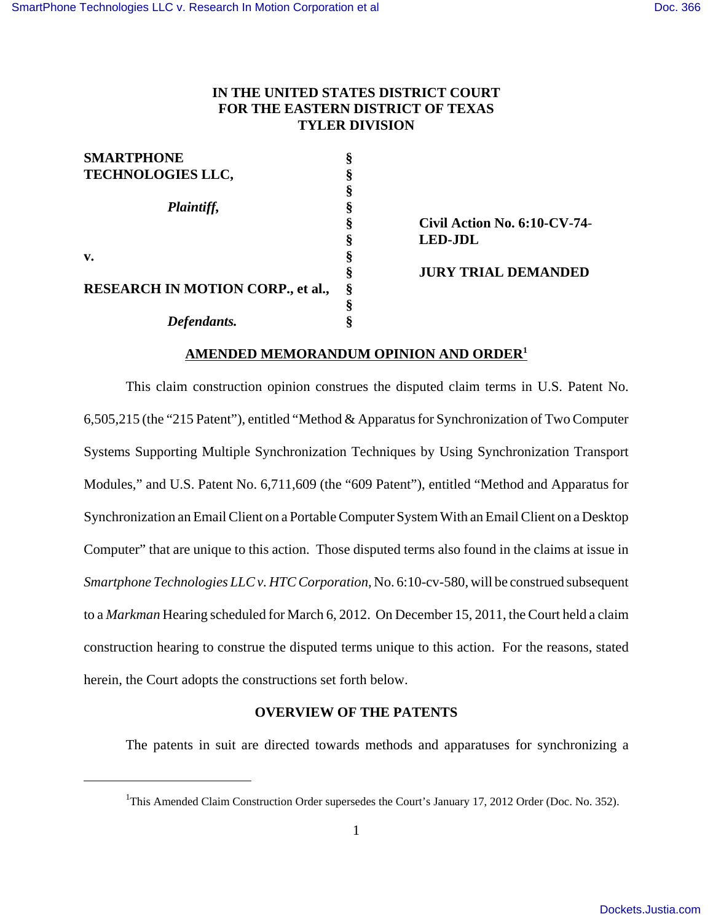# **IN THE UNITED STATES DISTRICT COURT FOR THE EASTERN DISTRICT OF TEXAS TYLER DIVISION**

| <b>SMARTPHONE</b>                        |   |                              |
|------------------------------------------|---|------------------------------|
| <b>TECHNOLOGIES LLC,</b>                 |   |                              |
|                                          |   |                              |
| Plaintiff,                               |   |                              |
|                                          | 8 | Civil Action No. 6:10-CV-74- |
|                                          | Ò | <b>LED-JDL</b>               |
| $\mathbf{v}$ .                           |   |                              |
|                                          |   | <b>JURY TRIAL DEMANDED</b>   |
| <b>RESEARCH IN MOTION CORP., et al.,</b> |   |                              |
|                                          |   |                              |
| Defendants.                              |   |                              |

# **AMENDED MEMORANDUM OPINION AND ORDER1**

This claim construction opinion construes the disputed claim terms in U.S. Patent No. 6,505,215 (the "215 Patent"), entitled "Method & Apparatus for Synchronization of Two Computer Systems Supporting Multiple Synchronization Techniques by Using Synchronization Transport Modules," and U.S. Patent No. 6,711,609 (the "609 Patent"), entitled "Method and Apparatus for Synchronization an Email Client on a Portable Computer System With an Email Client on a Desktop Computer" that are unique to this action. Those disputed terms also found in the claims at issue in *Smartphone Technologies LLC v. HTC Corporation*, No. 6:10-cv-580, will be construed subsequent to a *Markman* Hearing scheduled for March 6, 2012. On December 15, 2011, the Court held a claim construction hearing to construe the disputed terms unique to this action. For the reasons, stated herein, the Court adopts the constructions set forth below.

# **OVERVIEW OF THE PATENTS**

The patents in suit are directed towards methods and apparatuses for synchronizing a

<sup>&</sup>lt;sup>1</sup>This Amended Claim Construction Order supersedes the Court's January 17, 2012 Order (Doc. No. 352).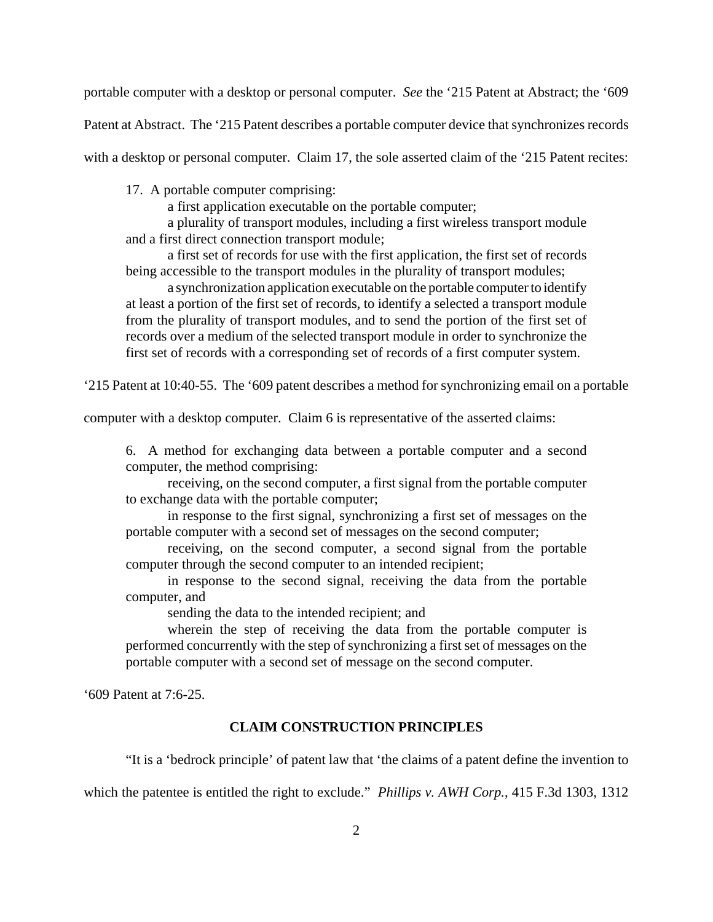portable computer with a desktop or personal computer. *See* the '215 Patent at Abstract; the '609

Patent at Abstract. The '215 Patent describes a portable computer device that synchronizes records

with a desktop or personal computer. Claim 17, the sole asserted claim of the '215 Patent recites:

17. A portable computer comprising:

a first application executable on the portable computer;

a plurality of transport modules, including a first wireless transport module and a first direct connection transport module;

a first set of records for use with the first application, the first set of records being accessible to the transport modules in the plurality of transport modules;

a synchronization application executable on the portable computer to identify at least a portion of the first set of records, to identify a selected a transport module from the plurality of transport modules, and to send the portion of the first set of records over a medium of the selected transport module in order to synchronize the first set of records with a corresponding set of records of a first computer system.

'215 Patent at 10:40-55. The '609 patent describes a method for synchronizing email on a portable

computer with a desktop computer. Claim 6 is representative of the asserted claims:

6. A method for exchanging data between a portable computer and a second computer, the method comprising:

receiving, on the second computer, a first signal from the portable computer to exchange data with the portable computer;

in response to the first signal, synchronizing a first set of messages on the portable computer with a second set of messages on the second computer;

receiving, on the second computer, a second signal from the portable computer through the second computer to an intended recipient;

in response to the second signal, receiving the data from the portable computer, and

sending the data to the intended recipient; and

wherein the step of receiving the data from the portable computer is performed concurrently with the step of synchronizing a first set of messages on the portable computer with a second set of message on the second computer.

'609 Patent at 7:6-25.

#### **CLAIM CONSTRUCTION PRINCIPLES**

"It is a 'bedrock principle' of patent law that 'the claims of a patent define the invention to

which the patentee is entitled the right to exclude." *Phillips v. AWH Corp.*, 415 F.3d 1303, 1312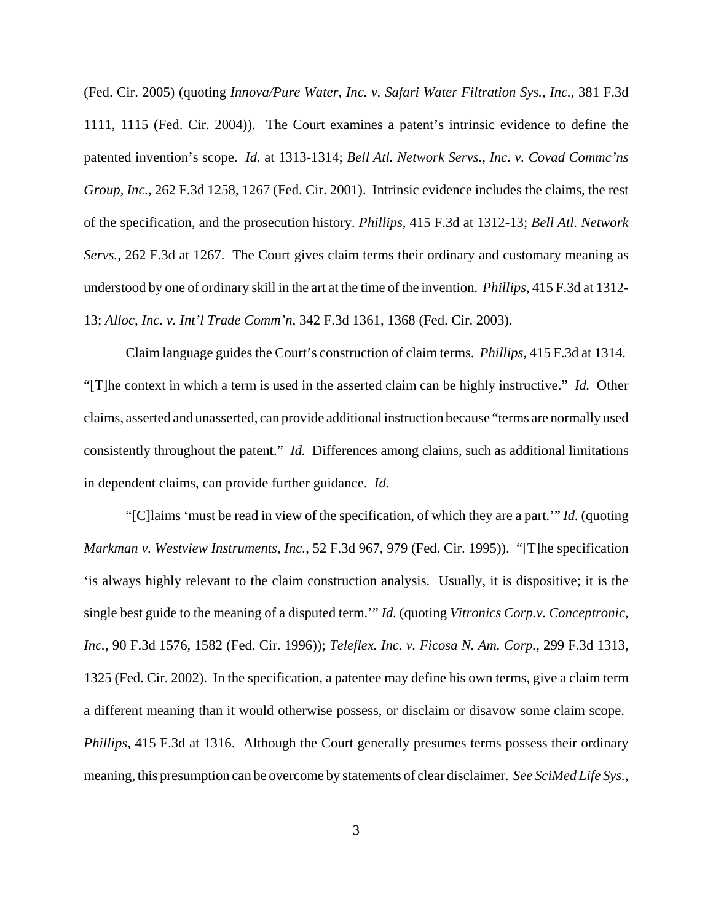(Fed. Cir. 2005) (quoting *Innova/Pure Water, Inc. v. Safari Water Filtration Sys., Inc.*, 381 F.3d 1111, 1115 (Fed. Cir. 2004)). The Court examines a patent's intrinsic evidence to define the patented invention's scope. *Id.* at 1313-1314; *Bell Atl. Network Servs., Inc. v. Covad Commc'ns Group, Inc.*, 262 F.3d 1258, 1267 (Fed. Cir. 2001). Intrinsic evidence includes the claims, the rest of the specification, and the prosecution history. *Phillips*, 415 F.3d at 1312-13; *Bell Atl. Network Servs.*, 262 F.3d at 1267. The Court gives claim terms their ordinary and customary meaning as understood by one of ordinary skill in the art at the time of the invention. *Phillips*, 415 F.3d at 1312- 13; *Alloc, Inc. v. Int'l Trade Comm'n*, 342 F.3d 1361, 1368 (Fed. Cir. 2003).

Claim language guides the Court's construction of claim terms. *Phillips*, 415 F.3d at 1314. "[T]he context in which a term is used in the asserted claim can be highly instructive." *Id.* Other claims, asserted and unasserted, can provide additional instruction because "terms are normally used consistently throughout the patent." *Id.* Differences among claims, such as additional limitations in dependent claims, can provide further guidance. *Id.*

"[C]laims 'must be read in view of the specification, of which they are a part.'" *Id.* (quoting *Markman v. Westview Instruments, Inc.*, 52 F.3d 967, 979 (Fed. Cir. 1995)). "[T]he specification 'is always highly relevant to the claim construction analysis. Usually, it is dispositive; it is the single best guide to the meaning of a disputed term.'" *Id.* (quoting *Vitronics Corp.v. Conceptronic, Inc.*, 90 F.3d 1576, 1582 (Fed. Cir. 1996)); *Teleflex. Inc. v. Ficosa N. Am. Corp.*, 299 F.3d 1313, 1325 (Fed. Cir. 2002). In the specification, a patentee may define his own terms, give a claim term a different meaning than it would otherwise possess, or disclaim or disavow some claim scope. *Phillips*, 415 F.3d at 1316. Although the Court generally presumes terms possess their ordinary meaning, this presumption can be overcome by statements of clear disclaimer. *See SciMed Life Sys.,*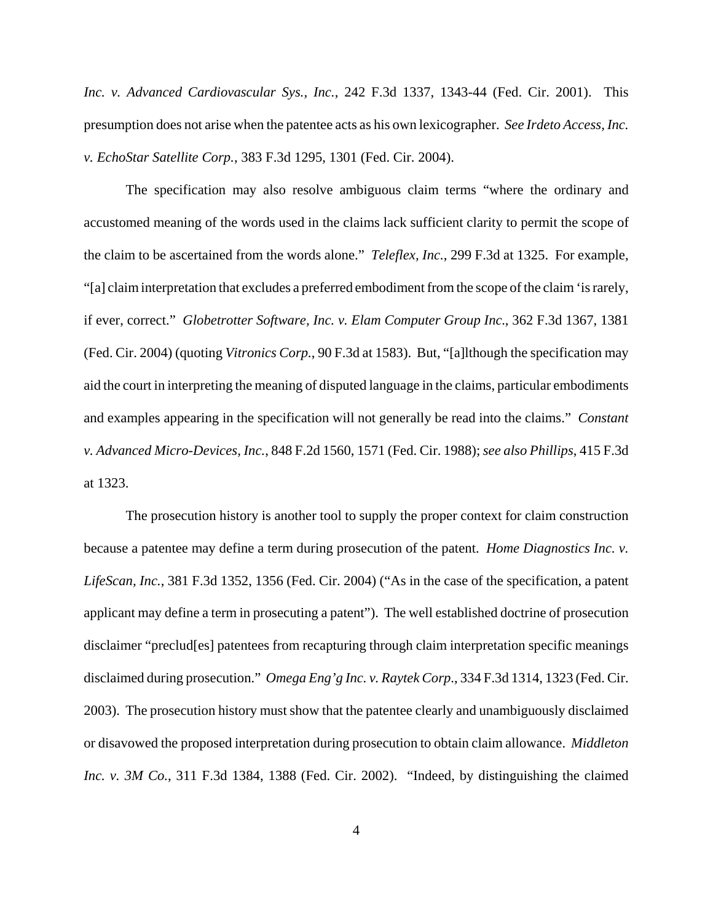*Inc. v. Advanced Cardiovascular Sys., Inc.*, 242 F.3d 1337, 1343-44 (Fed. Cir. 2001). This presumption does not arise when the patentee acts as his own lexicographer. *See Irdeto Access, Inc. v. EchoStar Satellite Corp.*, 383 F.3d 1295, 1301 (Fed. Cir. 2004).

The specification may also resolve ambiguous claim terms "where the ordinary and accustomed meaning of the words used in the claims lack sufficient clarity to permit the scope of the claim to be ascertained from the words alone." *Teleflex, Inc.*, 299 F.3d at 1325. For example, "[a] claim interpretation that excludes a preferred embodiment from the scope of the claim 'is rarely, if ever, correct." *Globetrotter Software, Inc. v. Elam Computer Group Inc.*, 362 F.3d 1367, 1381 (Fed. Cir. 2004) (quoting *Vitronics Corp.*, 90 F.3d at 1583). But, "[a]lthough the specification may aid the court in interpreting the meaning of disputed language in the claims, particular embodiments and examples appearing in the specification will not generally be read into the claims." *Constant v. Advanced Micro-Devices, Inc.*, 848 F.2d 1560, 1571 (Fed. Cir. 1988); *see also Phillips*, 415 F.3d at 1323.

The prosecution history is another tool to supply the proper context for claim construction because a patentee may define a term during prosecution of the patent. *Home Diagnostics Inc. v. LifeScan, Inc.*, 381 F.3d 1352, 1356 (Fed. Cir. 2004) ("As in the case of the specification, a patent applicant may define a term in prosecuting a patent"). The well established doctrine of prosecution disclaimer "preclud[es] patentees from recapturing through claim interpretation specific meanings disclaimed during prosecution." *Omega Eng'g Inc. v. Raytek Corp*., 334 F.3d 1314, 1323 (Fed. Cir. 2003). The prosecution history must show that the patentee clearly and unambiguously disclaimed or disavowed the proposed interpretation during prosecution to obtain claim allowance. *Middleton Inc. v. 3M Co.*, 311 F.3d 1384, 1388 (Fed. Cir. 2002). "Indeed, by distinguishing the claimed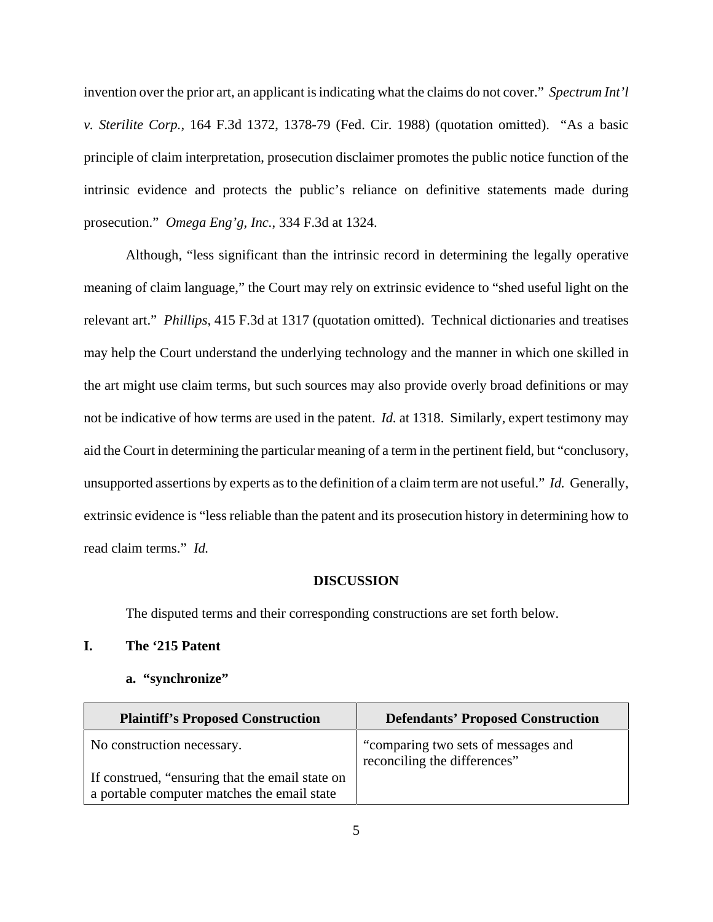invention over the prior art, an applicant is indicating what the claims do not cover." *Spectrum Int'l v. Sterilite Corp.*, 164 F.3d 1372, 1378-79 (Fed. Cir. 1988) (quotation omitted). "As a basic principle of claim interpretation, prosecution disclaimer promotes the public notice function of the intrinsic evidence and protects the public's reliance on definitive statements made during prosecution." *Omega Eng'g, Inc.*, 334 F.3d at 1324.

Although, "less significant than the intrinsic record in determining the legally operative meaning of claim language," the Court may rely on extrinsic evidence to "shed useful light on the relevant art." *Phillips*, 415 F.3d at 1317 (quotation omitted). Technical dictionaries and treatises may help the Court understand the underlying technology and the manner in which one skilled in the art might use claim terms, but such sources may also provide overly broad definitions or may not be indicative of how terms are used in the patent. *Id.* at 1318. Similarly, expert testimony may aid the Court in determining the particular meaning of a term in the pertinent field, but "conclusory, unsupported assertions by experts as to the definition of a claim term are not useful." *Id.* Generally, extrinsic evidence is "less reliable than the patent and its prosecution history in determining how to read claim terms." *Id.* 

#### **DISCUSSION**

The disputed terms and their corresponding constructions are set forth below.

# **I. The '215 Patent**

#### **a. "synchronize"**

| <b>Plaintiff's Proposed Construction</b>                                                       | <b>Defendants' Proposed Construction</b>                            |
|------------------------------------------------------------------------------------------------|---------------------------------------------------------------------|
| No construction necessary.                                                                     | "comparing two sets of messages and<br>reconciling the differences" |
| If construed, "ensuring that the email state on<br>a portable computer matches the email state |                                                                     |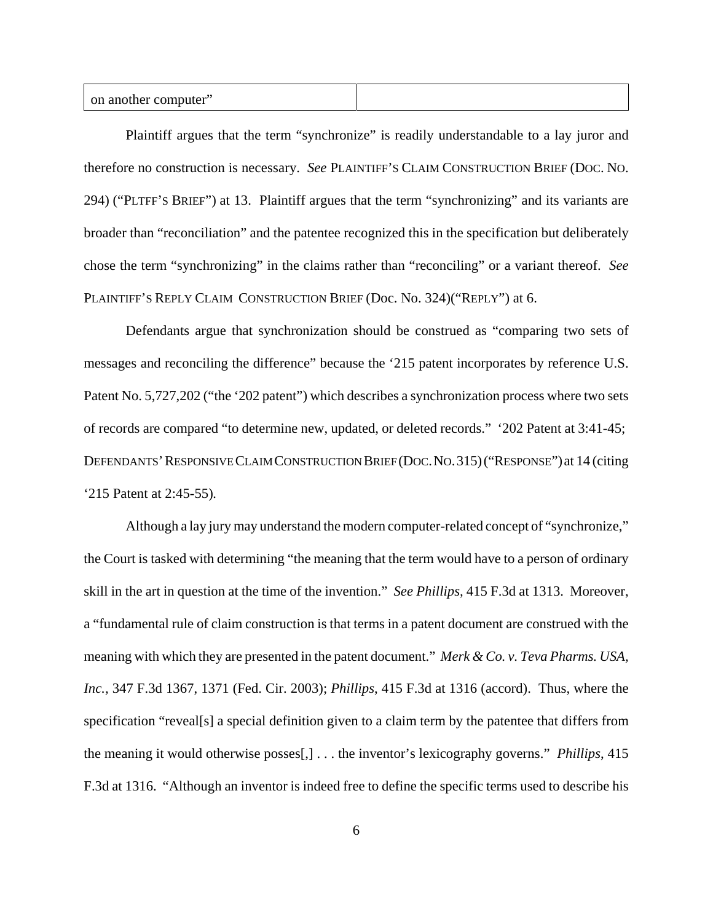Plaintiff argues that the term "synchronize" is readily understandable to a lay juror and therefore no construction is necessary. *See* PLAINTIFF'S CLAIM CONSTRUCTION BRIEF (DOC. NO. 294) ("PLTFF'S BRIEF") at 13. Plaintiff argues that the term "synchronizing" and its variants are broader than "reconciliation" and the patentee recognized this in the specification but deliberately chose the term "synchronizing" in the claims rather than "reconciling" or a variant thereof. *See* PLAINTIFF'S REPLY CLAIM CONSTRUCTION BRIEF (Doc. No. 324)("REPLY") at 6.

Defendants argue that synchronization should be construed as "comparing two sets of messages and reconciling the difference" because the '215 patent incorporates by reference U.S. Patent No. 5,727,202 ("the '202 patent") which describes a synchronization process where two sets of records are compared "to determine new, updated, or deleted records." '202 Patent at 3:41-45; DEFENDANTS'RESPONSIVE CLAIM CONSTRUCTION BRIEF (DOC.NO.315)("RESPONSE") at 14 (citing '215 Patent at 2:45-55)*.*

Although a lay jury may understand the modern computer-related concept of "synchronize," the Court is tasked with determining "the meaning that the term would have to a person of ordinary skill in the art in question at the time of the invention." *See Phillips,* 415 F.3d at 1313. Moreover, a "fundamental rule of claim construction is that terms in a patent document are construed with the meaning with which they are presented in the patent document." *Merk & Co. v. Teva Pharms. USA, Inc.,* 347 F.3d 1367, 1371 (Fed. Cir. 2003); *Phillips*, 415 F.3d at 1316 (accord). Thus, where the specification "reveal[s] a special definition given to a claim term by the patentee that differs from the meaning it would otherwise posses[,] . . . the inventor's lexicography governs." *Phillips*, 415 F.3d at 1316. "Although an inventor is indeed free to define the specific terms used to describe his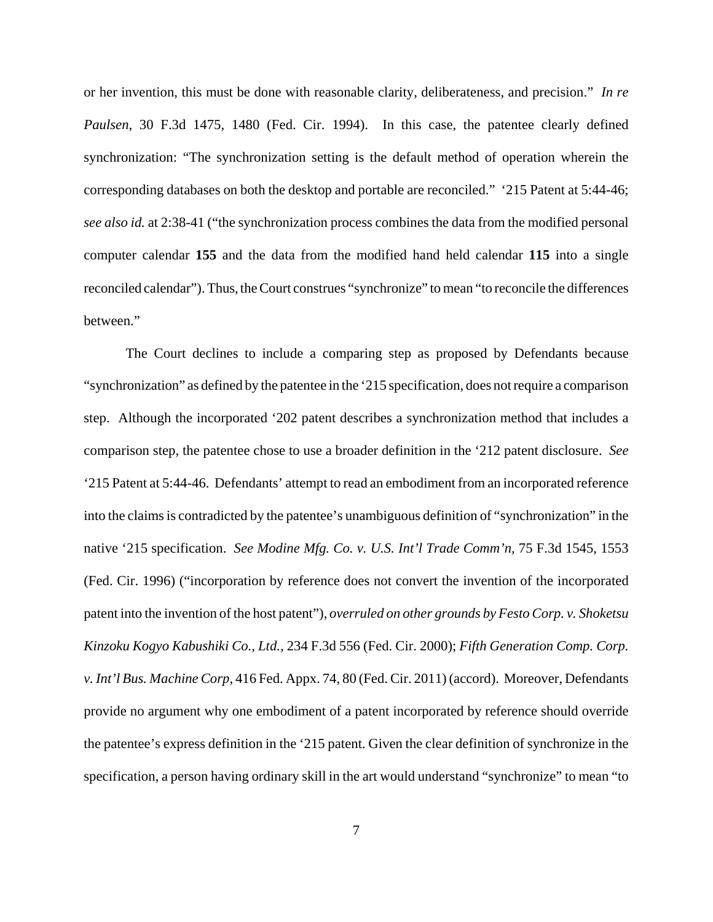or her invention, this must be done with reasonable clarity, deliberateness, and precision." *In re Paulsen*, 30 F.3d 1475, 1480 (Fed. Cir. 1994). In this case, the patentee clearly defined synchronization: "The synchronization setting is the default method of operation wherein the corresponding databases on both the desktop and portable are reconciled." '215 Patent at 5:44-46; *see also id.* at 2:38-41 ("the synchronization process combines the data from the modified personal computer calendar **155** and the data from the modified hand held calendar **115** into a single reconciled calendar"). Thus, the Court construes "synchronize" to mean "to reconcile the differences between."

The Court declines to include a comparing step as proposed by Defendants because "synchronization" as defined by the patentee in the '215 specification, does not require a comparison step. Although the incorporated '202 patent describes a synchronization method that includes a comparison step, the patentee chose to use a broader definition in the '212 patent disclosure. *See* '215 Patent at 5:44-46. Defendants' attempt to read an embodiment from an incorporated reference into the claims is contradicted by the patentee's unambiguous definition of "synchronization" in the native '215 specification. *See Modine Mfg. Co. v. U.S. Int'l Trade Comm'n,* 75 F.3d 1545, 1553 (Fed. Cir. 1996) ("incorporation by reference does not convert the invention of the incorporated patent into the invention of the host patent"), *overruled on other grounds by Festo Corp. v. Shoketsu Kinzoku Kogyo Kabushiki Co., Ltd.,* 234 F.3d 556 (Fed. Cir. 2000); *Fifth Generation Comp. Corp. v. Int'l Bus. Machine Corp*, 416 Fed. Appx. 74, 80 (Fed. Cir. 2011) (accord). Moreover, Defendants provide no argument why one embodiment of a patent incorporated by reference should override the patentee's express definition in the '215 patent. Given the clear definition of synchronize in the specification, a person having ordinary skill in the art would understand "synchronize" to mean "to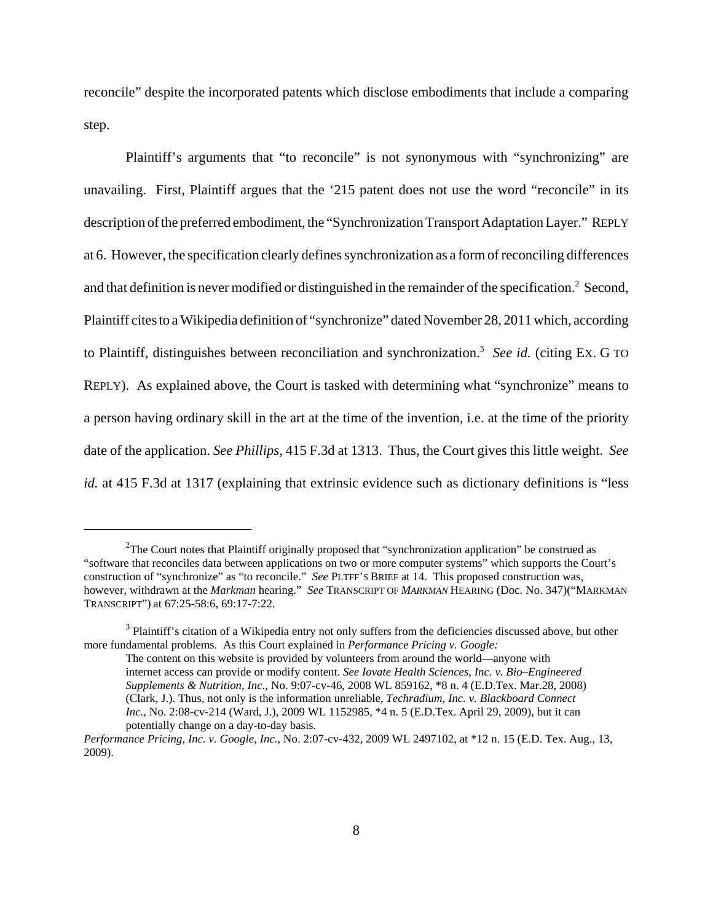reconcile" despite the incorporated patents which disclose embodiments that include a comparing step.

Plaintiff's arguments that "to reconcile" is not synonymous with "synchronizing" are unavailing. First, Plaintiff argues that the '215 patent does not use the word "reconcile" in its description of the preferred embodiment, the "Synchronization Transport Adaptation Layer." REPLY at 6. However, the specification clearly defines synchronization as a form of reconciling differences and that definition is never modified or distinguished in the remainder of the specification.<sup>2</sup> Second, Plaintiff cites to a Wikipedia definition of "synchronize" dated November 28, 2011 which, according to Plaintiff, distinguishes between reconciliation and synchronization.<sup>3</sup> See id. (citing Ex. G TO REPLY). As explained above, the Court is tasked with determining what "synchronize" means to a person having ordinary skill in the art at the time of the invention, i.e. at the time of the priority date of the application. *See Phillips*, 415 F.3d at 1313. Thus, the Court gives this little weight. *See id.* at 415 F.3d at 1317 (explaining that extrinsic evidence such as dictionary definitions is "less

<sup>&</sup>lt;sup>2</sup>The Court notes that Plaintiff originally proposed that "synchronization application" be construed as "software that reconciles data between applications on two or more computer systems" which supports the Court's construction of "synchronize" as "to reconcile." *See* PLTFF'S BRIEF at 14. This proposed construction was, however, withdrawn at the *Markman* hearing." *See* TRANSCRIPT OF *MARKMAN* HEARING (Doc. No. 347)("MARKMAN TRANSCRIPT") at 67:25-58:6, 69:17-7:22.

<sup>&</sup>lt;sup>3</sup> Plaintiff's citation of a Wikipedia entry not only suffers from the deficiencies discussed above, but other more fundamental problems. As this Court explained in *Performance Pricing v. Google:*

The content on this website is provided by volunteers from around the world—anyone with internet access can provide or modify content. *See Iovate Health Sciences, Inc. v. Bio–Engineered Supplements & Nutrition, Inc*., No. 9:07-cv-46, 2008 WL 859162, \*8 n. 4 (E.D.Tex. Mar.28, 2008) (Clark, J.). Thus, not only is the information unreliable, *Techradium, Inc. v. Blackboard Connect Inc.*, No. 2:08-cv-214 (Ward, J.), 2009 WL 1152985, \*4 n. 5 (E.D.Tex. April 29, 2009), but it can potentially change on a day-to-day basis.

*Performance Pricing, Inc. v. Google, Inc.*, No. 2:07-cv-432, 2009 WL 2497102, at \*12 n. 15 (E.D. Tex. Aug., 13, 2009).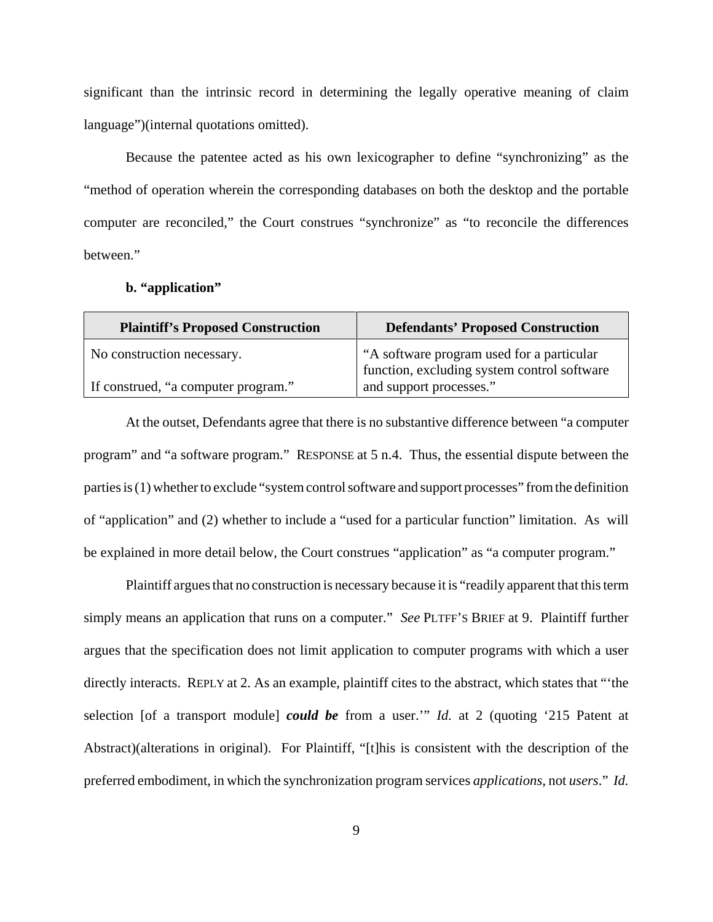significant than the intrinsic record in determining the legally operative meaning of claim language")(internal quotations omitted).

Because the patentee acted as his own lexicographer to define "synchronizing" as the "method of operation wherein the corresponding databases on both the desktop and the portable computer are reconciled," the Court construes "synchronize" as "to reconcile the differences between."

## **b. "application"**

| <b>Plaintiff's Proposed Construction</b> | <b>Defendants' Proposed Construction</b>                                                 |
|------------------------------------------|------------------------------------------------------------------------------------------|
| No construction necessary.               | "A software program used for a particular<br>function, excluding system control software |
| If construed, "a computer program."      | and support processes."                                                                  |

At the outset, Defendants agree that there is no substantive difference between "a computer program" and "a software program." RESPONSE at 5 n.4. Thus, the essential dispute between the parties is (1) whether to exclude "system control software and support processes" from the definition of "application" and (2) whether to include a "used for a particular function" limitation. As will be explained in more detail below, the Court construes "application" as "a computer program."

Plaintiff argues that no construction is necessary because it is "readily apparent that this term simply means an application that runs on a computer." *See* PLTFF'S BRIEF at 9. Plaintiff further argues that the specification does not limit application to computer programs with which a user directly interacts. REPLY at 2. As an example, plaintiff cites to the abstract, which states that "'the selection [of a transport module] *could be* from a user.'" *Id.* at 2 (quoting '215 Patent at Abstract)(alterations in original). For Plaintiff, "[t]his is consistent with the description of the preferred embodiment, in which the synchronization program services *applications*, not *users*." *Id.*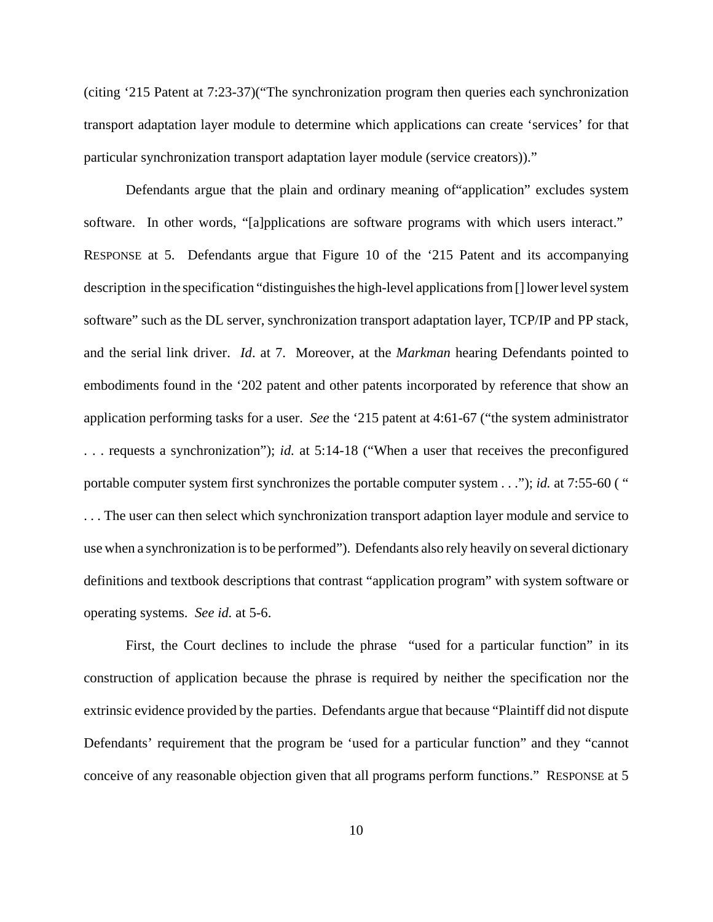(citing '215 Patent at 7:23-37)("The synchronization program then queries each synchronization transport adaptation layer module to determine which applications can create 'services' for that particular synchronization transport adaptation layer module (service creators))."

Defendants argue that the plain and ordinary meaning of"application" excludes system software. In other words, "[a]pplications are software programs with which users interact." RESPONSE at 5. Defendants argue that Figure 10 of the '215 Patent and its accompanying description in the specification "distinguishes the high-level applications from [] lower level system software" such as the DL server, synchronization transport adaptation layer, TCP/IP and PP stack, and the serial link driver. *Id*. at 7. Moreover, at the *Markman* hearing Defendants pointed to embodiments found in the '202 patent and other patents incorporated by reference that show an application performing tasks for a user. *See* the '215 patent at 4:61-67 ("the system administrator . . . requests a synchronization"); *id.* at 5:14-18 ("When a user that receives the preconfigured portable computer system first synchronizes the portable computer system . . ."); *id.* at 7:55-60 ( " . . . The user can then select which synchronization transport adaption layer module and service to use when a synchronization is to be performed"). Defendants also rely heavily on several dictionary definitions and textbook descriptions that contrast "application program" with system software or operating systems. *See id.* at 5-6.

First, the Court declines to include the phrase "used for a particular function" in its construction of application because the phrase is required by neither the specification nor the extrinsic evidence provided by the parties. Defendants argue that because "Plaintiff did not dispute Defendants' requirement that the program be 'used for a particular function" and they "cannot conceive of any reasonable objection given that all programs perform functions." RESPONSE at 5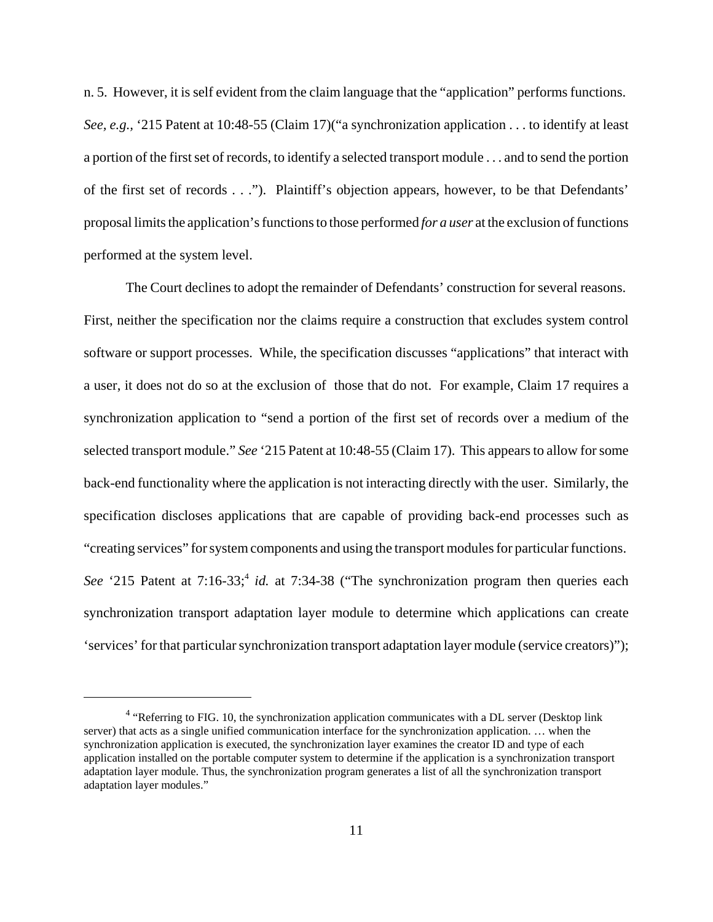n. 5. However, it is self evident from the claim language that the "application" performs functions. *See, e.g.,* '215 Patent at 10:48-55 (Claim 17)("a synchronization application . . . to identify at least a portion of the first set of records, to identify a selected transport module . . . and to send the portion of the first set of records . . ."). Plaintiff's objection appears, however, to be that Defendants' proposal limits the application's functions to those performed *for a user* at the exclusion of functions performed at the system level.

The Court declines to adopt the remainder of Defendants' construction for several reasons. First, neither the specification nor the claims require a construction that excludes system control software or support processes. While, the specification discusses "applications" that interact with a user, it does not do so at the exclusion of those that do not. For example, Claim 17 requires a synchronization application to "send a portion of the first set of records over a medium of the selected transport module." *See* '215 Patent at 10:48-55 (Claim 17). This appears to allow for some back-end functionality where the application is not interacting directly with the user. Similarly, the specification discloses applications that are capable of providing back-end processes such as "creating services" for system components and using the transport modules for particular functions. *See* '215 Patent at 7:16-33;<sup>4</sup> *id.* at 7:34-38 ("The synchronization program then queries each synchronization transport adaptation layer module to determine which applications can create 'services' for that particular synchronization transport adaptation layer module (service creators)");

 $4$  "Referring to FIG. 10, the synchronization application communicates with a DL server (Desktop link server) that acts as a single unified communication interface for the synchronization application. … when the synchronization application is executed, the synchronization layer examines the creator ID and type of each application installed on the portable computer system to determine if the application is a synchronization transport adaptation layer module. Thus, the synchronization program generates a list of all the synchronization transport adaptation layer modules."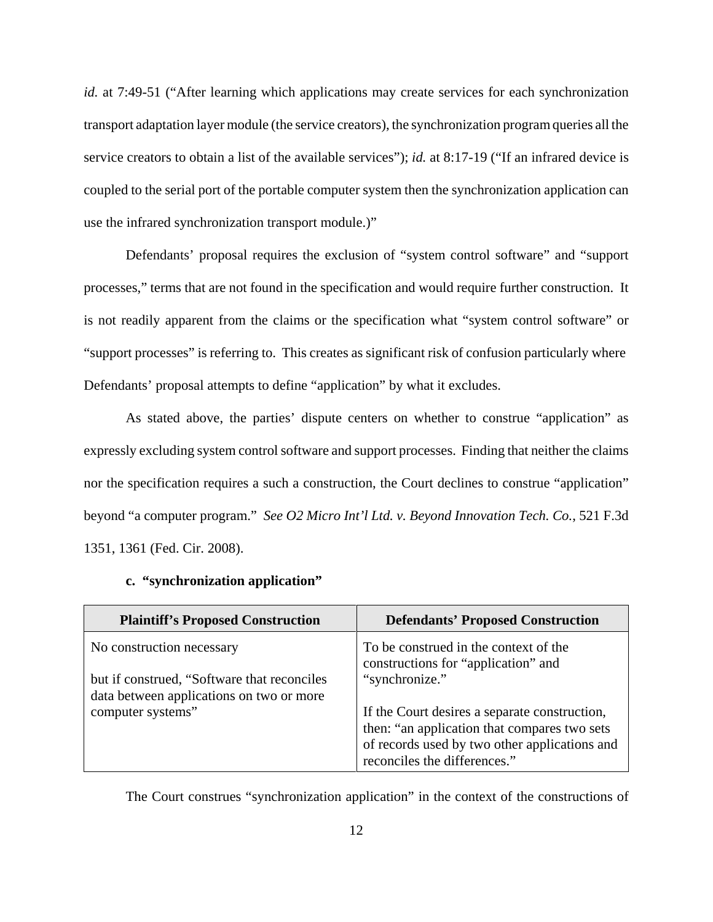*id.* at 7:49-51 ("After learning which applications may create services for each synchronization transport adaptation layer module (the service creators), the synchronization program queries all the service creators to obtain a list of the available services"); *id.* at 8:17-19 ("If an infrared device is coupled to the serial port of the portable computer system then the synchronization application can use the infrared synchronization transport module.)"

Defendants' proposal requires the exclusion of "system control software" and "support processes," terms that are not found in the specification and would require further construction. It is not readily apparent from the claims or the specification what "system control software" or "support processes" is referring to. This creates as significant risk of confusion particularly where Defendants' proposal attempts to define "application" by what it excludes.

As stated above, the parties' dispute centers on whether to construe "application" as expressly excluding system control software and support processes. Finding that neither the claims nor the specification requires a such a construction, the Court declines to construe "application" beyond "a computer program." *See O2 Micro Int'l Ltd. v. Beyond Innovation Tech. Co.*, 521 F.3d 1351, 1361 (Fed. Cir. 2008).

| <b>Plaintiff's Proposed Construction</b>                                                 | <b>Defendants' Proposed Construction</b>                                                                                                                                       |
|------------------------------------------------------------------------------------------|--------------------------------------------------------------------------------------------------------------------------------------------------------------------------------|
| No construction necessary                                                                | To be construed in the context of the<br>constructions for "application" and                                                                                                   |
| but if construed, "Software that reconciles"<br>data between applications on two or more | "synchronize."                                                                                                                                                                 |
| computer systems"                                                                        | If the Court desires a separate construction,<br>then: "an application that compares two sets<br>of records used by two other applications and<br>reconciles the differences." |

#### **c. "synchronization application"**

The Court construes "synchronization application" in the context of the constructions of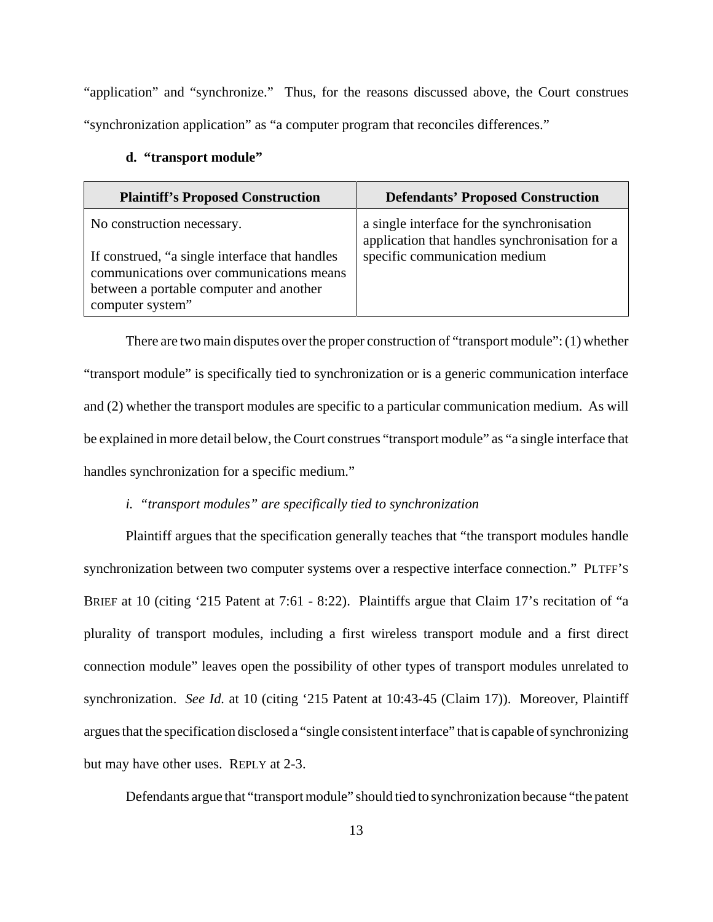"application" and "synchronize." Thus, for the reasons discussed above, the Court construes "synchronization application" as "a computer program that reconciles differences."

| <b>Plaintiff's Proposed Construction</b>                                                                                              | <b>Defendants' Proposed Construction</b>                                                     |
|---------------------------------------------------------------------------------------------------------------------------------------|----------------------------------------------------------------------------------------------|
| No construction necessary.                                                                                                            | a single interface for the synchronisation<br>application that handles synchronisation for a |
| If construed, "a single interface that handles<br>communications over communications means<br>between a portable computer and another | specific communication medium                                                                |
| computer system"                                                                                                                      |                                                                                              |

#### **d. "transport module"**

There are two main disputes over the proper construction of "transport module": (1) whether "transport module" is specifically tied to synchronization or is a generic communication interface and (2) whether the transport modules are specific to a particular communication medium. As will be explained in more detail below, the Court construes "transport module" as "a single interface that handles synchronization for a specific medium."

# *i. "transport modules" are specifically tied to synchronization*

Plaintiff argues that the specification generally teaches that "the transport modules handle synchronization between two computer systems over a respective interface connection." PLTFF'S BRIEF at 10 (citing '215 Patent at 7:61 - 8:22). Plaintiffs argue that Claim 17's recitation of "a plurality of transport modules, including a first wireless transport module and a first direct connection module" leaves open the possibility of other types of transport modules unrelated to synchronization. *See Id.* at 10 (citing '215 Patent at 10:43-45 (Claim 17)). Moreover, Plaintiff argues that the specification disclosed a "single consistent interface" that is capable of synchronizing but may have other uses. REPLY at 2-3.

Defendants argue that "transport module" should tied to synchronization because "the patent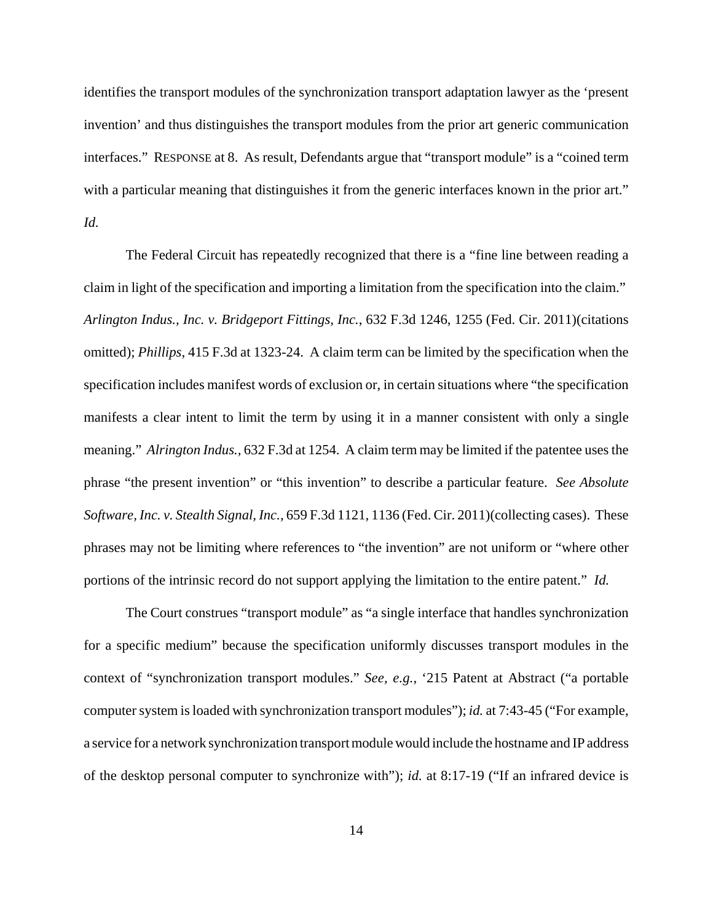identifies the transport modules of the synchronization transport adaptation lawyer as the 'present invention' and thus distinguishes the transport modules from the prior art generic communication interfaces." RESPONSE at 8. As result, Defendants argue that "transport module" is a "coined term with a particular meaning that distinguishes it from the generic interfaces known in the prior art." *Id.*

The Federal Circuit has repeatedly recognized that there is a "fine line between reading a claim in light of the specification and importing a limitation from the specification into the claim." *Arlington Indus., Inc. v. Bridgeport Fittings, Inc.*, 632 F.3d 1246, 1255 (Fed. Cir. 2011)(citations omitted); *Phillips*, 415 F.3d at 1323-24. A claim term can be limited by the specification when the specification includes manifest words of exclusion or, in certain situations where "the specification manifests a clear intent to limit the term by using it in a manner consistent with only a single meaning." *Alrington Indus.,* 632 F.3d at 1254. A claim term may be limited if the patentee uses the phrase "the present invention" or "this invention" to describe a particular feature. *See Absolute Software, Inc. v. Stealth Signal, Inc.*, 659 F.3d 1121, 1136 (Fed. Cir. 2011)(collecting cases). These phrases may not be limiting where references to "the invention" are not uniform or "where other portions of the intrinsic record do not support applying the limitation to the entire patent." *Id.*

The Court construes "transport module" as "a single interface that handles synchronization for a specific medium" because the specification uniformly discusses transport modules in the context of "synchronization transport modules." *See, e.g.,* '215 Patent at Abstract ("a portable computer system is loaded with synchronization transport modules"); *id.* at 7:43-45 ("For example, a service for a network synchronization transport module would include the hostname and IP address of the desktop personal computer to synchronize with"); *id.* at 8:17-19 ("If an infrared device is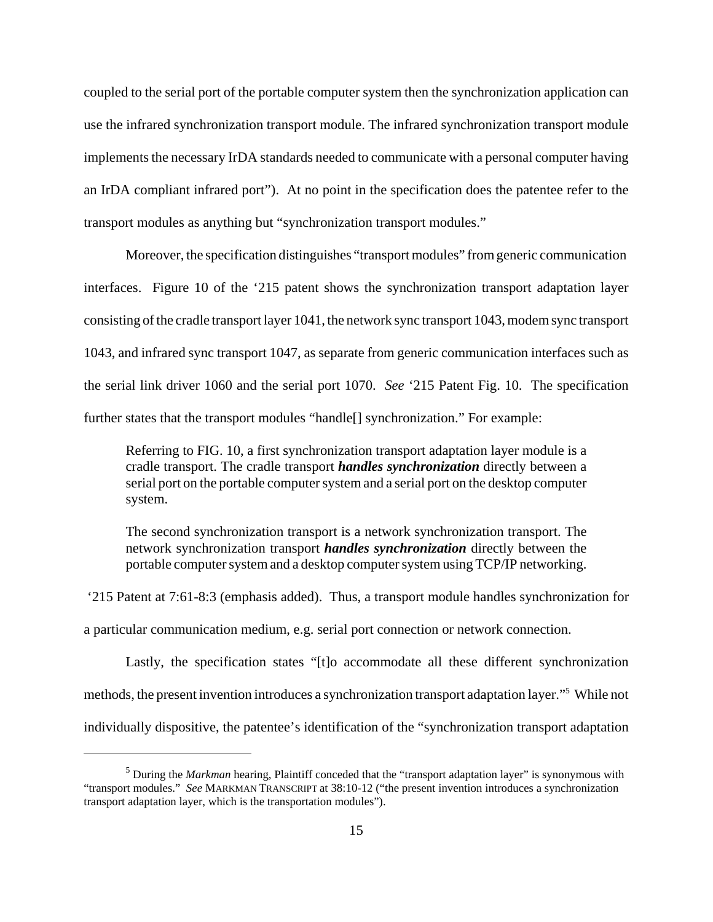coupled to the serial port of the portable computer system then the synchronization application can use the infrared synchronization transport module. The infrared synchronization transport module implements the necessary IrDA standards needed to communicate with a personal computer having an IrDA compliant infrared port"). At no point in the specification does the patentee refer to the transport modules as anything but "synchronization transport modules."

Moreover, the specification distinguishes "transport modules" from generic communication interfaces. Figure 10 of the '215 patent shows the synchronization transport adaptation layer consisting of the cradle transport layer 1041, the network sync transport 1043, modem sync transport 1043, and infrared sync transport 1047, as separate from generic communication interfaces such as the serial link driver 1060 and the serial port 1070. *See* '215 Patent Fig. 10. The specification further states that the transport modules "handle[] synchronization." For example:

Referring to FIG. 10, a first synchronization transport adaptation layer module is a cradle transport. The cradle transport *handles synchronization* directly between a serial port on the portable computer system and a serial port on the desktop computer system.

The second synchronization transport is a network synchronization transport. The network synchronization transport *handles synchronization* directly between the portable computer system and a desktop computer system using TCP/IP networking.

 '215 Patent at 7:61-8:3 (emphasis added). Thus, a transport module handles synchronization for a particular communication medium, e.g. serial port connection or network connection.

Lastly, the specification states "[t]o accommodate all these different synchronization methods, the present invention introduces a synchronization transport adaptation layer."5 While not individually dispositive, the patentee's identification of the "synchronization transport adaptation

<sup>&</sup>lt;sup>5</sup> During the *Markman* hearing, Plaintiff conceded that the "transport adaptation layer" is synonymous with "transport modules." *See* MARKMAN TRANSCRIPT at 38:10-12 ("the present invention introduces a synchronization transport adaptation layer, which is the transportation modules").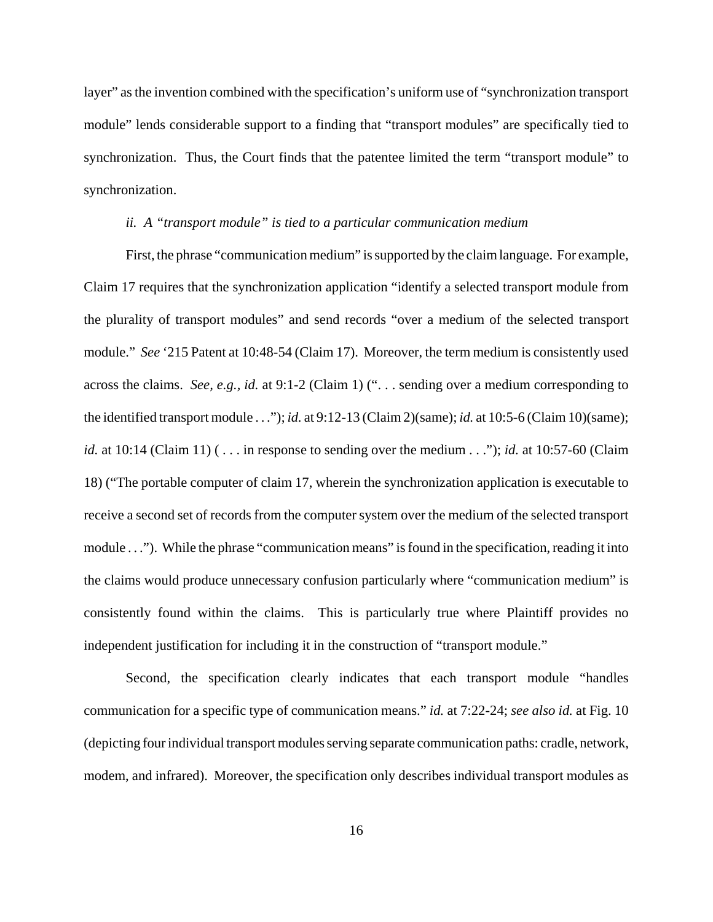layer" as the invention combined with the specification's uniform use of "synchronization transport module" lends considerable support to a finding that "transport modules" are specifically tied to synchronization. Thus, the Court finds that the patentee limited the term "transport module" to synchronization.

## *ii. A "transport module" is tied to a particular communication medium*

First, the phrase "communication medium" is supported by the claim language. For example, Claim 17 requires that the synchronization application "identify a selected transport module from the plurality of transport modules" and send records "over a medium of the selected transport module." *See* '215 Patent at 10:48-54 (Claim 17). Moreover, the term medium is consistently used across the claims. *See, e.g., id.* at 9:1-2 (Claim 1) (". . . sending over a medium corresponding to the identified transport module . . ."); *id.* at 9:12-13 (Claim 2)(same); *id.* at 10:5-6 (Claim 10)(same); *id.* at 10:14 (Claim 11) (... in response to sending over the medium ..."); *id.* at 10:57-60 (Claim 18) ("The portable computer of claim 17, wherein the synchronization application is executable to receive a second set of records from the computer system over the medium of the selected transport module . . ."). While the phrase "communication means" is found in the specification, reading it into the claims would produce unnecessary confusion particularly where "communication medium" is consistently found within the claims. This is particularly true where Plaintiff provides no independent justification for including it in the construction of "transport module."

Second, the specification clearly indicates that each transport module "handles communication for a specific type of communication means." *id.* at 7:22-24; *see also id.* at Fig. 10 (depicting four individual transport modules serving separate communication paths: cradle, network, modem, and infrared). Moreover, the specification only describes individual transport modules as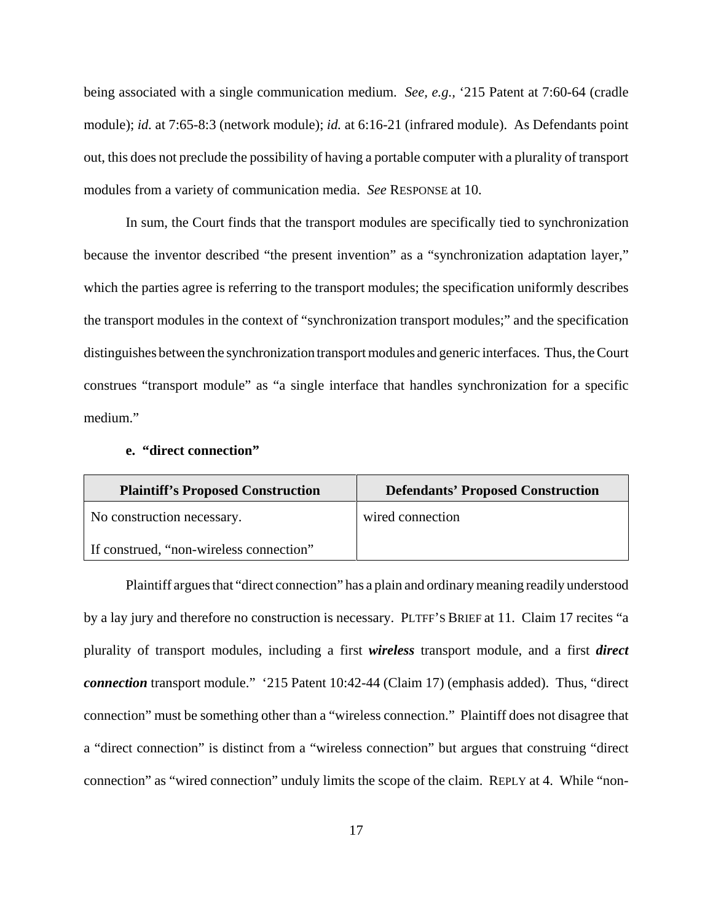being associated with a single communication medium. *See, e.g.,* '215 Patent at 7:60-64 (cradle module); *id.* at 7:65-8:3 (network module); *id.* at 6:16-21 (infrared module). As Defendants point out, this does not preclude the possibility of having a portable computer with a plurality of transport modules from a variety of communication media. *See* RESPONSE at 10.

In sum, the Court finds that the transport modules are specifically tied to synchronization because the inventor described "the present invention" as a "synchronization adaptation layer," which the parties agree is referring to the transport modules; the specification uniformly describes the transport modules in the context of "synchronization transport modules;" and the specification distinguishes between the synchronization transport modules and generic interfaces. Thus, the Court construes "transport module" as "a single interface that handles synchronization for a specific medium."

# **e. "direct connection"**

| <b>Plaintiff's Proposed Construction</b> | <b>Defendants' Proposed Construction</b> |
|------------------------------------------|------------------------------------------|
| No construction necessary.               | wired connection                         |
| If construed, "non-wireless connection"  |                                          |

Plaintiff argues that "direct connection" has a plain and ordinary meaning readily understood by a lay jury and therefore no construction is necessary. PLTFF'S BRIEF at 11. Claim 17 recites "a plurality of transport modules, including a first *wireless* transport module, and a first *direct connection* transport module." '215 Patent 10:42-44 (Claim 17) (emphasis added). Thus, "direct connection" must be something other than a "wireless connection." Plaintiff does not disagree that a "direct connection" is distinct from a "wireless connection" but argues that construing "direct connection" as "wired connection" unduly limits the scope of the claim. REPLY at 4. While "non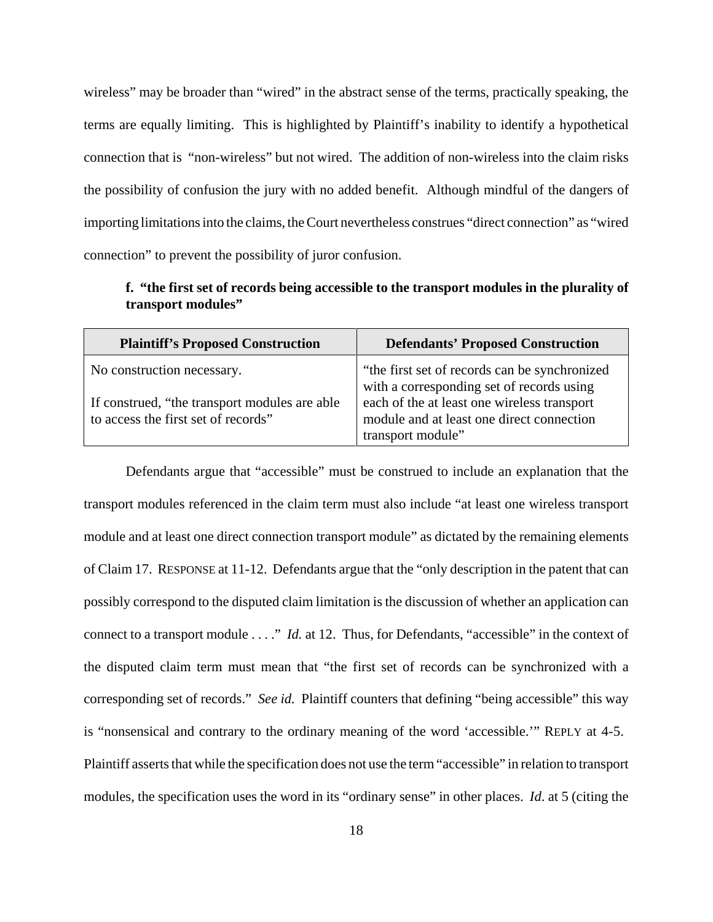wireless" may be broader than "wired" in the abstract sense of the terms, practically speaking, the terms are equally limiting. This is highlighted by Plaintiff's inability to identify a hypothetical connection that is "non-wireless" but not wired. The addition of non-wireless into the claim risks the possibility of confusion the jury with no added benefit. Although mindful of the dangers of importing limitations into the claims, the Court nevertheless construes "direct connection" as "wired connection" to prevent the possibility of juror confusion.

**f. "the first set of records being accessible to the transport modules in the plurality of transport modules"**

| <b>Plaintiff's Proposed Construction</b>                                                                           | <b>Defendants' Proposed Construction</b>                                                                                                                                               |
|--------------------------------------------------------------------------------------------------------------------|----------------------------------------------------------------------------------------------------------------------------------------------------------------------------------------|
| No construction necessary.<br>If construed, "the transport modules are able<br>to access the first set of records" | "the first set of records can be synchronized<br>with a corresponding set of records using<br>each of the at least one wireless transport<br>module and at least one direct connection |
|                                                                                                                    | transport module"                                                                                                                                                                      |

Defendants argue that "accessible" must be construed to include an explanation that the transport modules referenced in the claim term must also include "at least one wireless transport module and at least one direct connection transport module" as dictated by the remaining elements of Claim 17. RESPONSE at 11-12. Defendants argue that the "only description in the patent that can possibly correspond to the disputed claim limitation is the discussion of whether an application can connect to a transport module . . . ." *Id.* at 12. Thus, for Defendants, "accessible" in the context of the disputed claim term must mean that "the first set of records can be synchronized with a corresponding set of records." *See id.* Plaintiff counters that defining "being accessible" this way is "nonsensical and contrary to the ordinary meaning of the word 'accessible.'" REPLY at 4-5. Plaintiff asserts that while the specification does not use the term "accessible" in relation to transport modules, the specification uses the word in its "ordinary sense" in other places. *Id*. at 5 (citing the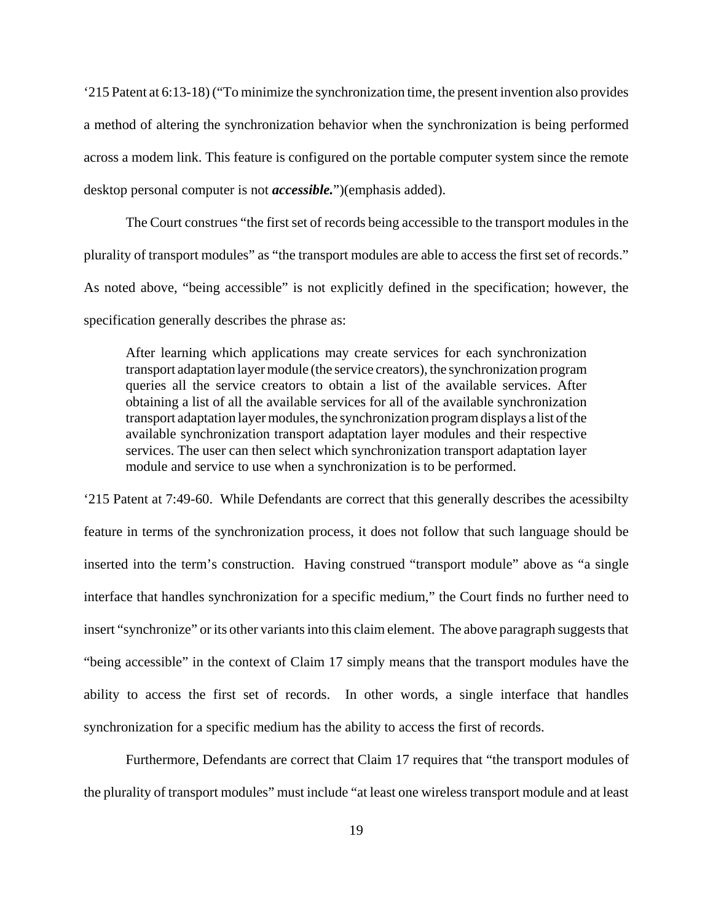'215 Patent at 6:13-18) ("To minimize the synchronization time, the present invention also provides a method of altering the synchronization behavior when the synchronization is being performed across a modem link. This feature is configured on the portable computer system since the remote desktop personal computer is not *accessible.*")(emphasis added).

The Court construes "the first set of records being accessible to the transport modules in the plurality of transport modules" as "the transport modules are able to access the first set of records." As noted above, "being accessible" is not explicitly defined in the specification; however, the specification generally describes the phrase as:

After learning which applications may create services for each synchronization transport adaptation layer module (the service creators), the synchronization program queries all the service creators to obtain a list of the available services. After obtaining a list of all the available services for all of the available synchronization transport adaptation layer modules, the synchronization program displays a list of the available synchronization transport adaptation layer modules and their respective services. The user can then select which synchronization transport adaptation layer module and service to use when a synchronization is to be performed.

'215 Patent at 7:49-60. While Defendants are correct that this generally describes the acessibilty feature in terms of the synchronization process, it does not follow that such language should be inserted into the term's construction. Having construed "transport module" above as "a single interface that handles synchronization for a specific medium," the Court finds no further need to insert "synchronize" or its other variants into this claim element. The above paragraph suggests that "being accessible" in the context of Claim 17 simply means that the transport modules have the ability to access the first set of records. In other words, a single interface that handles synchronization for a specific medium has the ability to access the first of records.

Furthermore, Defendants are correct that Claim 17 requires that "the transport modules of the plurality of transport modules" must include "at least one wireless transport module and at least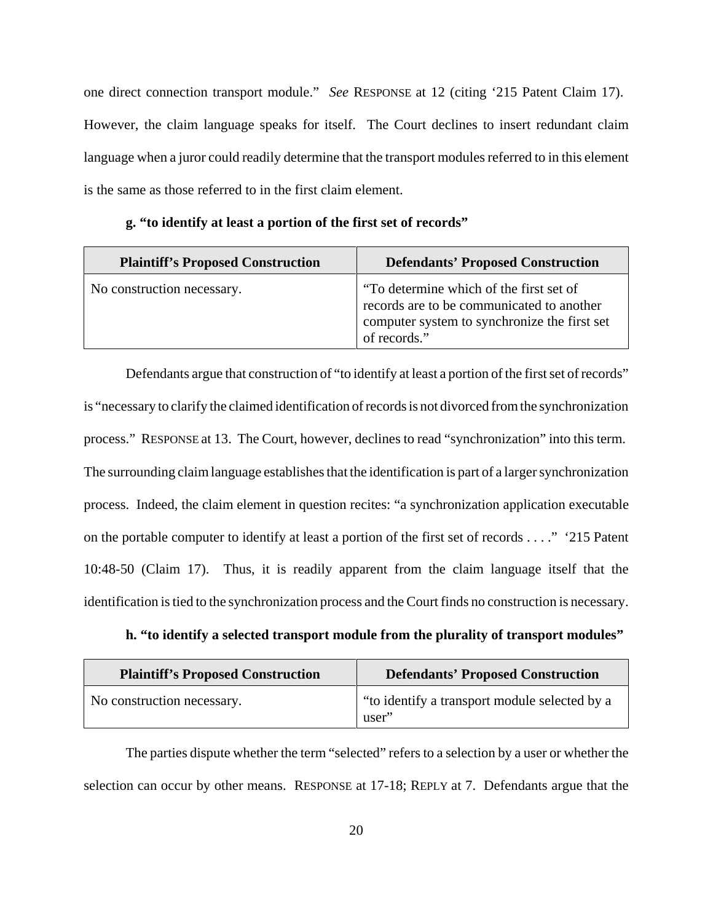one direct connection transport module." *See* RESPONSE at 12 (citing '215 Patent Claim 17). However, the claim language speaks for itself. The Court declines to insert redundant claim language when a juror could readily determine that the transport modules referred to in this element is the same as those referred to in the first claim element.

| <b>Plaintiff's Proposed Construction</b> | <b>Defendants' Proposed Construction</b>                                                                                                             |
|------------------------------------------|------------------------------------------------------------------------------------------------------------------------------------------------------|
| No construction necessary.               | "To determine which of the first set of<br>records are to be communicated to another<br>computer system to synchronize the first set<br>of records." |

**g. "to identify at least a portion of the first set of records"**

Defendants argue that construction of "to identify at least a portion of the first set of records" is "necessary to clarify the claimed identification of records is not divorced from the synchronization process."RESPONSE at 13. The Court, however, declines to read "synchronization" into this term. The surrounding claim language establishes that the identification is part of a larger synchronization process. Indeed, the claim element in question recites: "a synchronization application executable on the portable computer to identify at least a portion of the first set of records . . . ." '215 Patent 10:48-50 (Claim 17). Thus, it is readily apparent from the claim language itself that the identification is tied to the synchronization process and the Court finds no construction is necessary.

| h. "to identify a selected transport module from the plurality of transport modules" |
|--------------------------------------------------------------------------------------|
|--------------------------------------------------------------------------------------|

| <b>Plaintiff's Proposed Construction</b> | <b>Defendants' Proposed Construction</b>               |
|------------------------------------------|--------------------------------------------------------|
| No construction necessary.               | "to identify a transport module selected by a<br>user" |

The parties dispute whether the term "selected" refers to a selection by a user or whether the selection can occur by other means. RESPONSE at 17-18; REPLY at 7. Defendants argue that the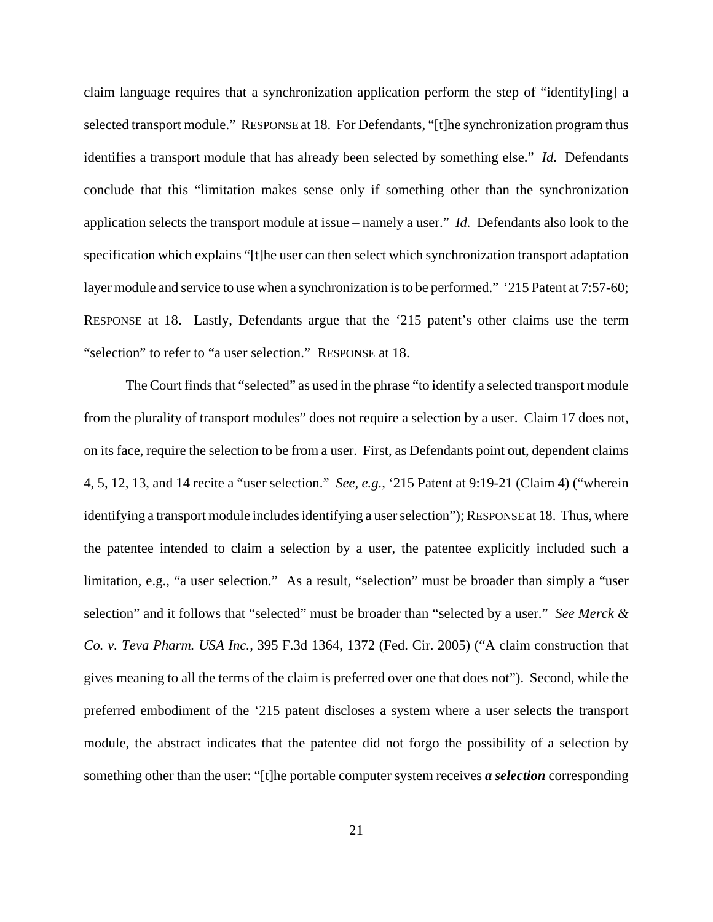claim language requires that a synchronization application perform the step of "identify[ing] a selected transport module." RESPONSE at 18. For Defendants, "[t]he synchronization program thus identifies a transport module that has already been selected by something else." *Id.* Defendants conclude that this "limitation makes sense only if something other than the synchronization application selects the transport module at issue – namely a user." *Id.* Defendants also look to the specification which explains "[t]he user can then select which synchronization transport adaptation layer module and service to use when a synchronization is to be performed." '215 Patent at 7:57-60; RESPONSE at 18. Lastly, Defendants argue that the '215 patent's other claims use the term "selection" to refer to "a user selection." RESPONSE at 18.

The Court finds that "selected" as used in the phrase "to identify a selected transport module from the plurality of transport modules" does not require a selection by a user. Claim 17 does not, on its face, require the selection to be from a user. First, as Defendants point out, dependent claims 4, 5, 12, 13, and 14 recite a "user selection." *See, e.g.,* '215 Patent at 9:19-21 (Claim 4) ("wherein identifying a transport module includes identifying a user selection"); RESPONSE at 18. Thus, where the patentee intended to claim a selection by a user, the patentee explicitly included such a limitation, e.g., "a user selection." As a result, "selection" must be broader than simply a "user selection" and it follows that "selected" must be broader than "selected by a user." *See Merck & Co. v. Teva Pharm. USA Inc.,* 395 F.3d 1364, 1372 (Fed. Cir. 2005) ("A claim construction that gives meaning to all the terms of the claim is preferred over one that does not"). Second, while the preferred embodiment of the '215 patent discloses a system where a user selects the transport module, the abstract indicates that the patentee did not forgo the possibility of a selection by something other than the user: "[t]he portable computer system receives *a selection* corresponding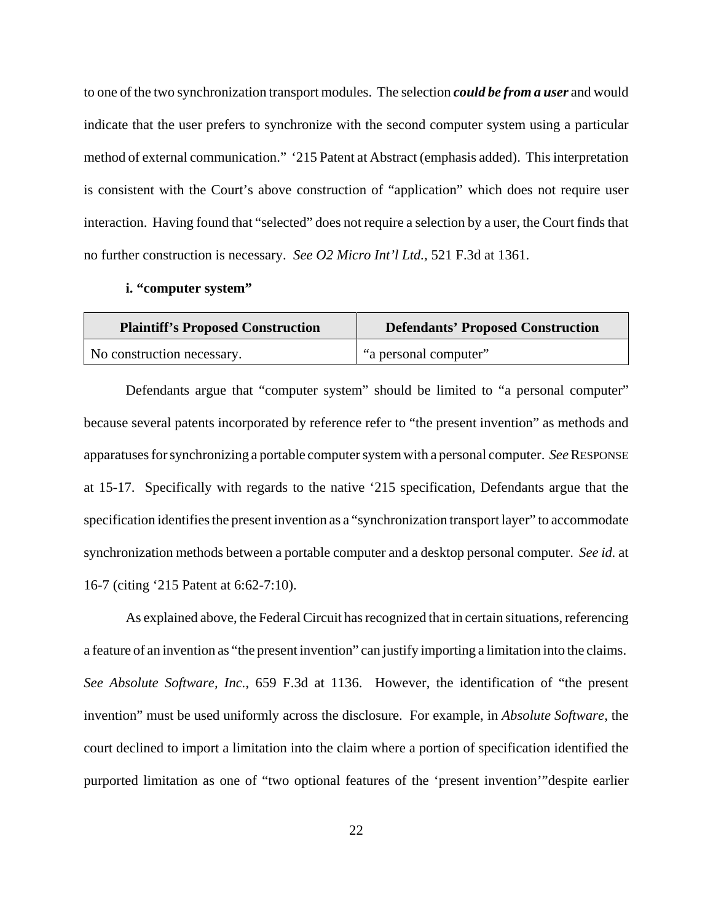to one of the two synchronization transport modules. The selection *could be from a user* and would indicate that the user prefers to synchronize with the second computer system using a particular method of external communication." '215 Patent at Abstract (emphasis added). This interpretation is consistent with the Court's above construction of "application" which does not require user interaction. Having found that "selected" does not require a selection by a user, the Court finds that no further construction is necessary. *See O2 Micro Int'l Ltd.,* 521 F.3d at 1361.

#### **i. "computer system"**

| <b>Plaintiff's Proposed Construction</b> | <b>Defendants' Proposed Construction</b> |
|------------------------------------------|------------------------------------------|
| No construction necessary.               | "a personal computer"                    |

Defendants argue that "computer system" should be limited to "a personal computer" because several patents incorporated by reference refer to "the present invention" as methods and apparatuses for synchronizing a portable computer system with a personal computer. *See* RESPONSE at 15-17. Specifically with regards to the native '215 specification, Defendants argue that the specification identifies the present invention as a "synchronization transport layer" to accommodate synchronization methods between a portable computer and a desktop personal computer. *See id.* at 16-7 (citing '215 Patent at 6:62-7:10).

As explained above, the Federal Circuit has recognized that in certain situations, referencing a feature of an invention as "the present invention" can justify importing a limitation into the claims. *See Absolute Software, Inc.*, 659 F.3d at 1136. However, the identification of "the present invention" must be used uniformly across the disclosure. For example, in *Absolute Software*, the court declined to import a limitation into the claim where a portion of specification identified the purported limitation as one of "two optional features of the 'present invention'"despite earlier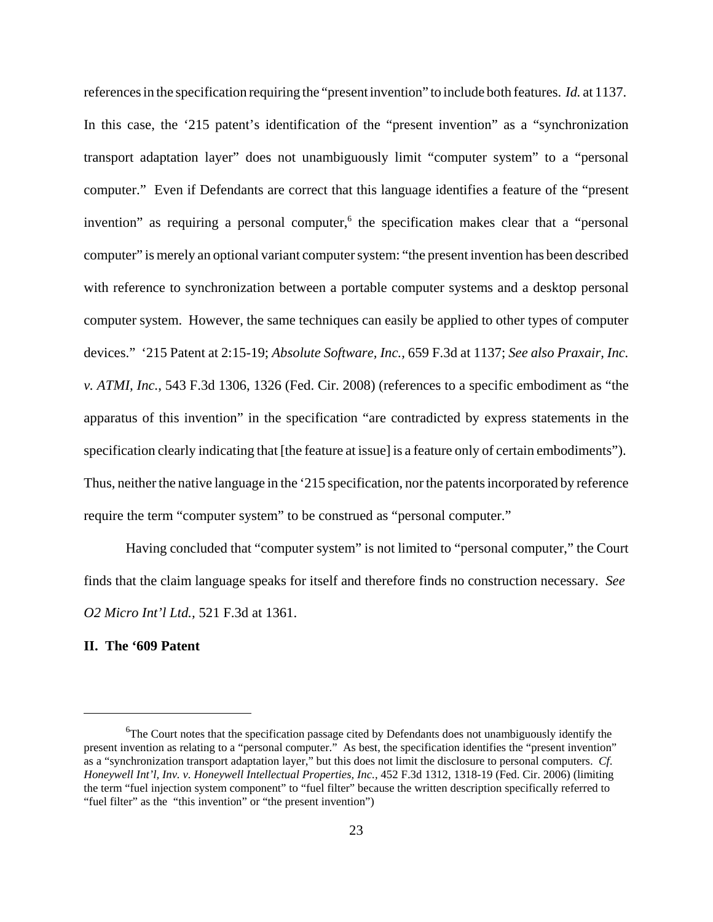references in the specification requiring the "present invention" to include both features. *Id.* at 1137. In this case, the '215 patent's identification of the "present invention" as a "synchronization transport adaptation layer" does not unambiguously limit "computer system" to a "personal computer." Even if Defendants are correct that this language identifies a feature of the "present invention" as requiring a personal computer,<sup>6</sup> the specification makes clear that a "personal computer" is merely an optional variant computer system: "the present invention has been described with reference to synchronization between a portable computer systems and a desktop personal computer system. However, the same techniques can easily be applied to other types of computer devices." '215 Patent at 2:15-19; *Absolute Software, Inc.,* 659 F.3d at 1137; *See also Praxair, Inc. v. ATMI, Inc.*, 543 F.3d 1306, 1326 (Fed. Cir. 2008) (references to a specific embodiment as "the apparatus of this invention" in the specification "are contradicted by express statements in the specification clearly indicating that [the feature at issue] is a feature only of certain embodiments"). Thus, neither the native language in the '215 specification, nor the patents incorporated by reference require the term "computer system" to be construed as "personal computer."

Having concluded that "computer system" is not limited to "personal computer," the Court finds that the claim language speaks for itself and therefore finds no construction necessary. *See O2 Micro Int'l Ltd.,* 521 F.3d at 1361.

## **II. The '609 Patent**

<sup>&</sup>lt;sup>6</sup>The Court notes that the specification passage cited by Defendants does not unambiguously identify the present invention as relating to a "personal computer." As best, the specification identifies the "present invention" as a "synchronization transport adaptation layer," but this does not limit the disclosure to personal computers. *Cf*. *Honeywell Int'l, Inv. v. Honeywell Intellectual Properties, Inc.,* 452 F.3d 1312, 1318-19 (Fed. Cir. 2006) (limiting the term "fuel injection system component" to "fuel filter" because the written description specifically referred to "fuel filter" as the "this invention" or "the present invention")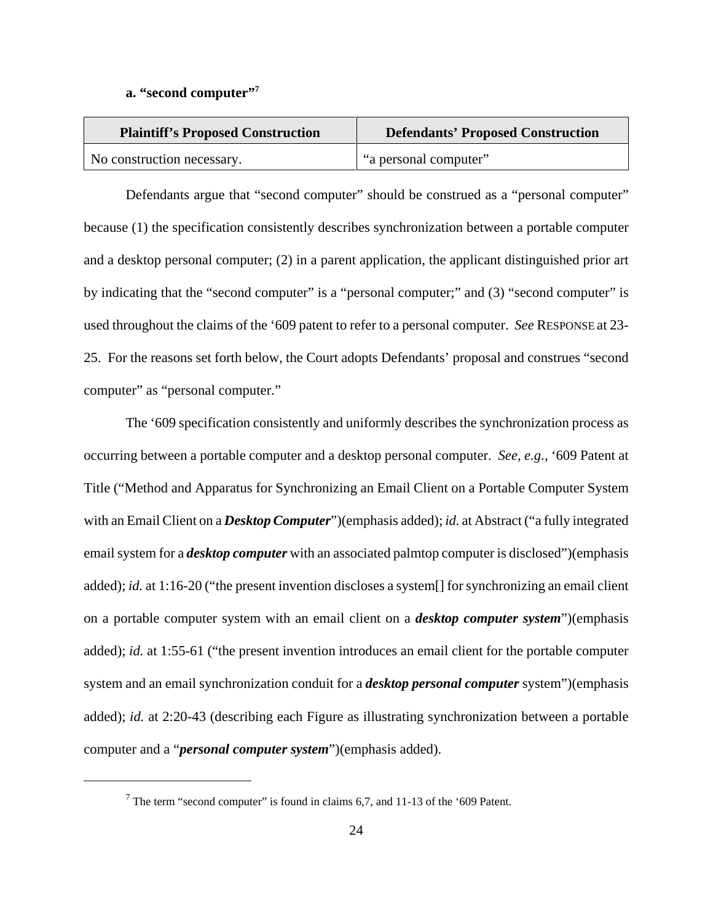**a. "second computer"7**

| <b>Plaintiff's Proposed Construction</b> | <b>Defendants' Proposed Construction</b> |  |
|------------------------------------------|------------------------------------------|--|
| No construction necessary.               | "a personal computer"                    |  |

Defendants argue that "second computer" should be construed as a "personal computer" because (1) the specification consistently describes synchronization between a portable computer and a desktop personal computer; (2) in a parent application, the applicant distinguished prior art by indicating that the "second computer" is a "personal computer;" and (3) "second computer" is used throughout the claims of the '609 patent to refer to a personal computer. *See* RESPONSE at 23- 25. For the reasons set forth below, the Court adopts Defendants' proposal and construes "second computer" as "personal computer."

The '609 specification consistently and uniformly describes the synchronization process as occurring between a portable computer and a desktop personal computer. *See, e.g.,* '609 Patent at Title ("Method and Apparatus for Synchronizing an Email Client on a Portable Computer System with an Email Client on a *Desktop Computer*")(emphasis added); *id.* at Abstract ("a fully integrated email system for a *desktop computer* with an associated palmtop computer is disclosed")(emphasis added); *id.* at 1:16-20 ("the present invention discloses a system[] for synchronizing an email client on a portable computer system with an email client on a *desktop computer system*")(emphasis added); *id.* at 1:55-61 ("the present invention introduces an email client for the portable computer system and an email synchronization conduit for a *desktop personal computer* system")(emphasis added); *id.* at 2:20-43 (describing each Figure as illustrating synchronization between a portable computer and a "*personal computer system*")(emphasis added).

<sup>&</sup>lt;sup>7</sup> The term "second computer" is found in claims 6,7, and 11-13 of the '609 Patent.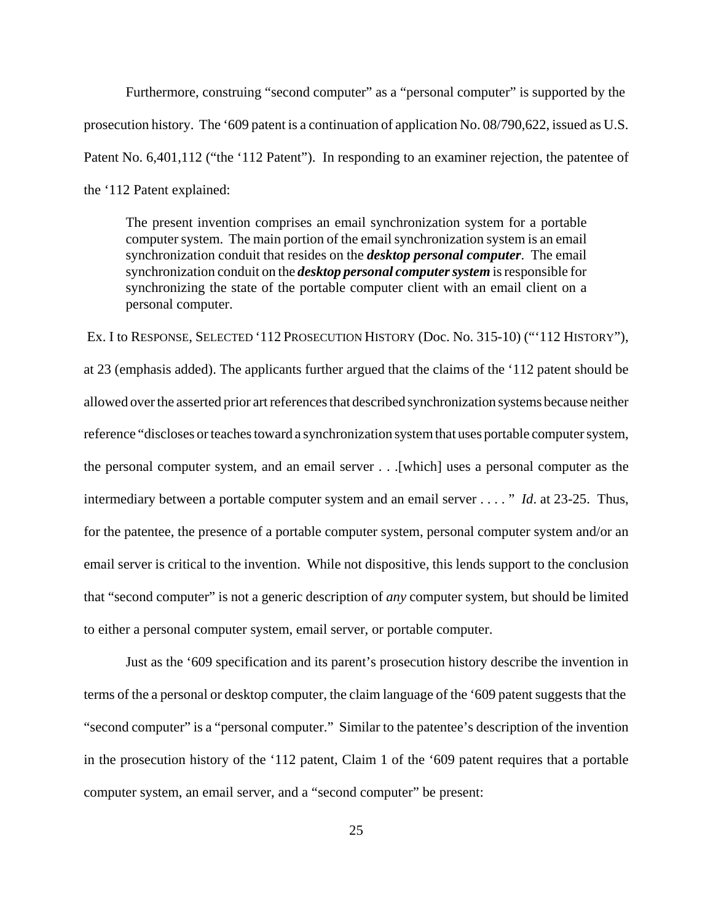Furthermore, construing "second computer" as a "personal computer" is supported by the prosecution history. The '609 patent is a continuation of application No. 08/790,622, issued as U.S. Patent No. 6,401,112 ("the '112 Patent"). In responding to an examiner rejection, the patentee of the '112 Patent explained:

The present invention comprises an email synchronization system for a portable computer system. The main portion of the email synchronization system is an email synchronization conduit that resides on the *desktop personal computer*. The email synchronization conduit on the *desktop personal computer system* is responsible for synchronizing the state of the portable computer client with an email client on a personal computer.

 Ex. I to RESPONSE, SELECTED '112 PROSECUTION HISTORY (Doc. No. 315-10) ("'112 HISTORY"), at 23 (emphasis added). The applicants further argued that the claims of the '112 patent should be allowed over the asserted prior art references that described synchronization systems because neither reference "discloses or teaches toward a synchronization system that uses portable computer system, the personal computer system, and an email server . . .[which] uses a personal computer as the intermediary between a portable computer system and an email server . . . . " *Id*. at 23-25. Thus, for the patentee, the presence of a portable computer system, personal computer system and/or an email server is critical to the invention. While not dispositive, this lends support to the conclusion that "second computer" is not a generic description of *any* computer system, but should be limited to either a personal computer system, email server, or portable computer.

Just as the '609 specification and its parent's prosecution history describe the invention in terms of the a personal or desktop computer, the claim language of the '609 patent suggests that the "second computer" is a "personal computer." Similar to the patentee's description of the invention in the prosecution history of the '112 patent, Claim 1 of the '609 patent requires that a portable computer system, an email server, and a "second computer" be present: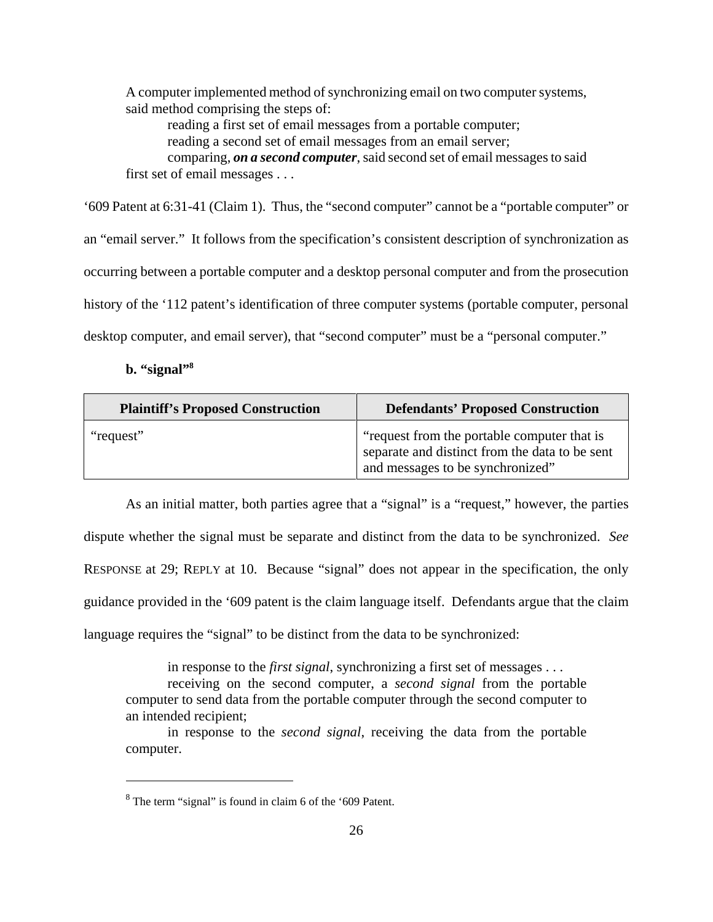A computer implemented method of synchronizing email on two computer systems, said method comprising the steps of: reading a first set of email messages from a portable computer; reading a second set of email messages from an email server; comparing, *on a second computer*, said second set of email messages to said first set of email messages . . .

'609 Patent at 6:31-41 (Claim 1). Thus, the "second computer" cannot be a "portable computer" or an "email server." It follows from the specification's consistent description of synchronization as occurring between a portable computer and a desktop personal computer and from the prosecution history of the '112 patent's identification of three computer systems (portable computer, personal desktop computer, and email server), that "second computer" must be a "personal computer."

### **b. "signal"8**

| <b>Plaintiff's Proposed Construction</b> | <b>Defendants' Proposed Construction</b>                                                                                          |  |
|------------------------------------------|-----------------------------------------------------------------------------------------------------------------------------------|--|
| "request"                                | "request from the portable computer that is<br>separate and distinct from the data to be sent<br>and messages to be synchronized" |  |

As an initial matter, both parties agree that a "signal" is a "request," however, the parties dispute whether the signal must be separate and distinct from the data to be synchronized. *See* RESPONSE at 29; REPLY at 10. Because "signal" does not appear in the specification, the only guidance provided in the '609 patent is the claim language itself. Defendants argue that the claim language requires the "signal" to be distinct from the data to be synchronized:

in response to the *first signal*, synchronizing a first set of messages . . . receiving on the second computer, a *second signal* from the portable computer to send data from the portable computer through the second computer to an intended recipient;

in response to the *second signal*, receiving the data from the portable computer.

 $8^8$  The term "signal" is found in claim 6 of the '609 Patent.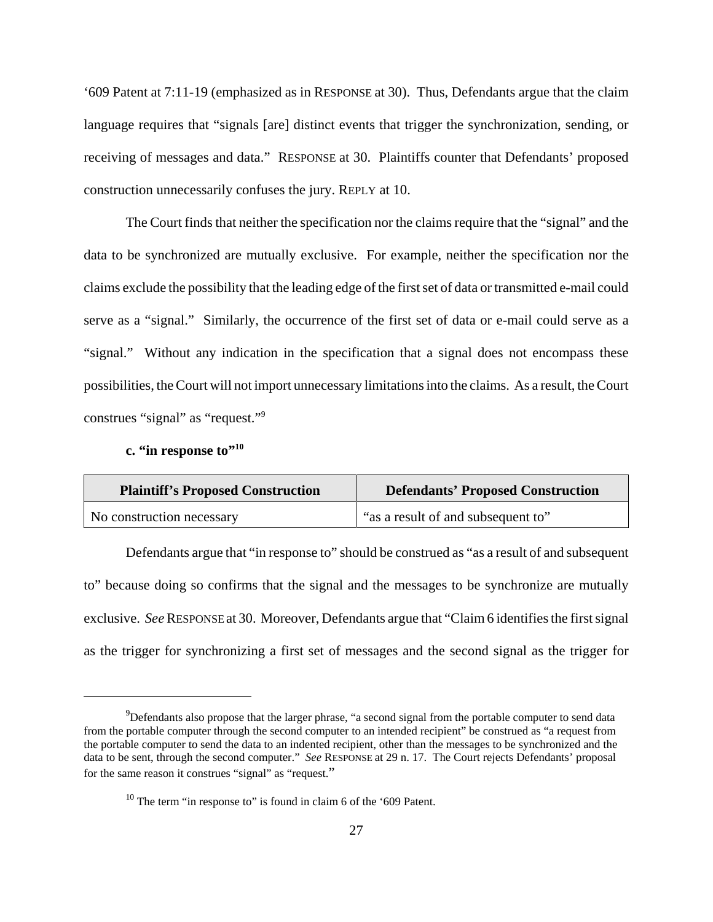'609 Patent at 7:11-19 (emphasized as in RESPONSE at 30). Thus, Defendants argue that the claim language requires that "signals [are] distinct events that trigger the synchronization, sending, or receiving of messages and data." RESPONSE at 30. Plaintiffs counter that Defendants' proposed construction unnecessarily confuses the jury. REPLY at 10.

The Court finds that neither the specification nor the claims require that the "signal" and the data to be synchronized are mutually exclusive. For example, neither the specification nor the claims exclude the possibility that the leading edge of the first set of data or transmitted e-mail could serve as a "signal." Similarly, the occurrence of the first set of data or e-mail could serve as a "signal." Without any indication in the specification that a signal does not encompass these possibilities, the Court will not import unnecessary limitations into the claims. As a result, the Court construes "signal" as "request."9

## c. "in response to"<sup>10</sup>

| <b>Plaintiff's Proposed Construction</b> | <b>Defendants' Proposed Construction</b> |  |
|------------------------------------------|------------------------------------------|--|
| No construction necessary                | all "as a result of and subsequent to"   |  |

Defendants argue that "in response to" should be construed as "as a result of and subsequent to" because doing so confirms that the signal and the messages to be synchronize are mutually exclusive. *See* RESPONSE at 30. Moreover, Defendants argue that "Claim 6 identifies the first signal as the trigger for synchronizing a first set of messages and the second signal as the trigger for

 $^{9}$ Defendants also propose that the larger phrase, "a second signal from the portable computer to send data from the portable computer through the second computer to an intended recipient" be construed as "a request from the portable computer to send the data to an indented recipient, other than the messages to be synchronized and the data to be sent, through the second computer." *See* RESPONSE at 29 n. 17. The Court rejects Defendants' proposal for the same reason it construes "signal" as "request."

 $10$  The term "in response to" is found in claim 6 of the '609 Patent.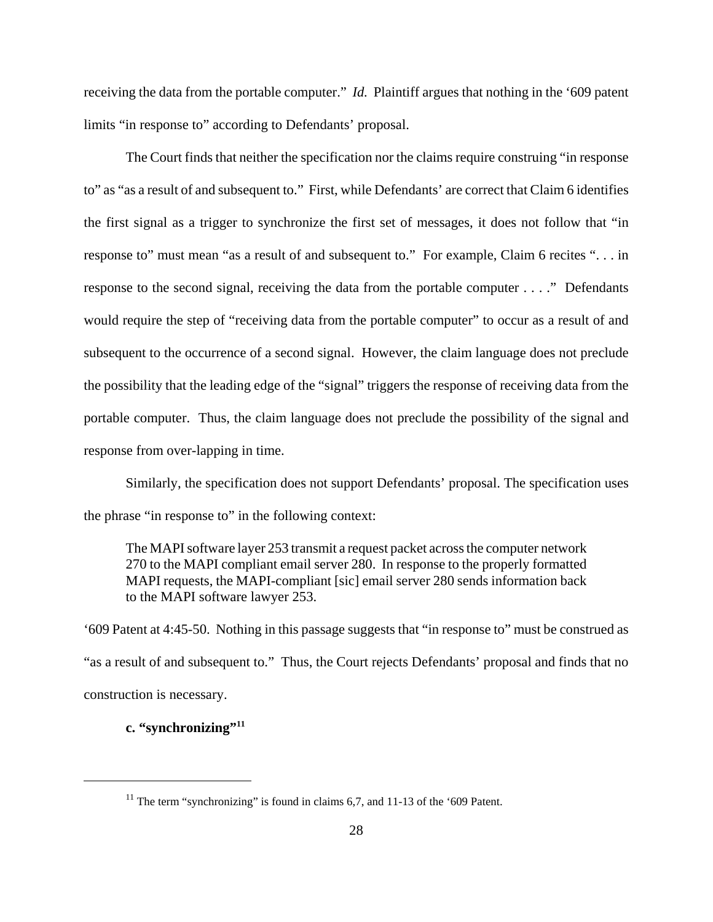receiving the data from the portable computer." *Id.* Plaintiff argues that nothing in the '609 patent limits "in response to" according to Defendants' proposal.

The Court finds that neither the specification nor the claims require construing "in response to" as "as a result of and subsequent to." First, while Defendants' are correct that Claim 6 identifies the first signal as a trigger to synchronize the first set of messages, it does not follow that "in response to" must mean "as a result of and subsequent to." For example, Claim 6 recites ". . . in response to the second signal, receiving the data from the portable computer . . . ." Defendants would require the step of "receiving data from the portable computer" to occur as a result of and subsequent to the occurrence of a second signal. However, the claim language does not preclude the possibility that the leading edge of the "signal" triggers the response of receiving data from the portable computer. Thus, the claim language does not preclude the possibility of the signal and response from over-lapping in time.

Similarly, the specification does not support Defendants' proposal. The specification uses the phrase "in response to" in the following context:

The MAPI software layer 253 transmit a request packet across the computer network 270 to the MAPI compliant email server 280. In response to the properly formatted MAPI requests, the MAPI-compliant [sic] email server 280 sends information back to the MAPI software lawyer 253.

'609 Patent at 4:45-50. Nothing in this passage suggests that "in response to" must be construed as "as a result of and subsequent to." Thus, the Court rejects Defendants' proposal and finds that no construction is necessary.

# **c. "synchronizing"11**

<sup>&</sup>lt;sup>11</sup> The term "synchronizing" is found in claims 6,7, and 11-13 of the '609 Patent.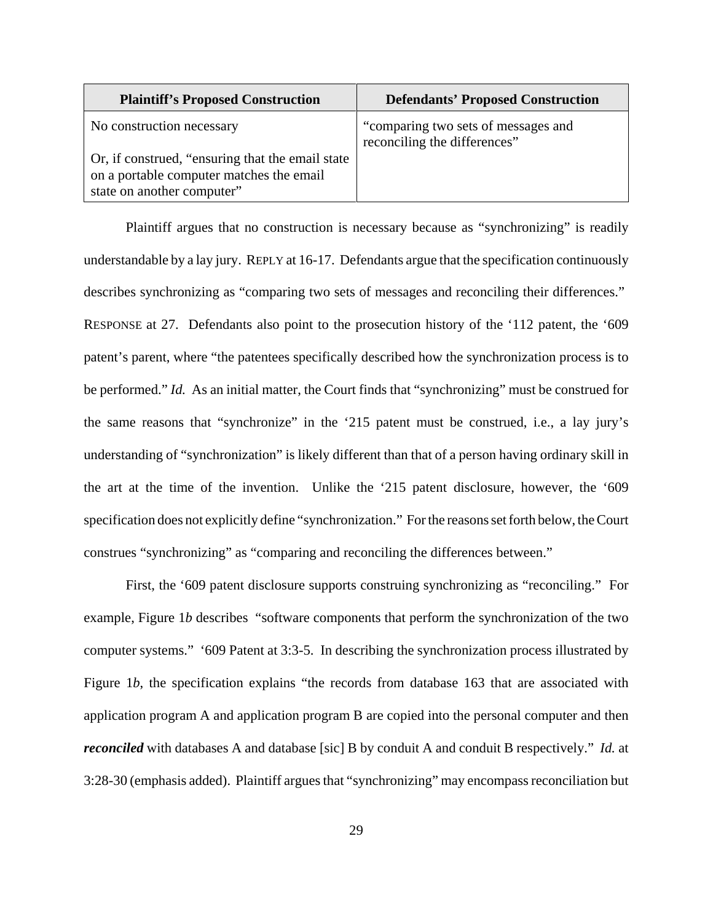| <b>Plaintiff's Proposed Construction</b>                                                                                    | <b>Defendants' Proposed Construction</b>                            |
|-----------------------------------------------------------------------------------------------------------------------------|---------------------------------------------------------------------|
| No construction necessary                                                                                                   | "comparing two sets of messages and<br>reconciling the differences" |
| Or, if construed, "ensuring that the email state"<br>on a portable computer matches the email<br>state on another computer" |                                                                     |

Plaintiff argues that no construction is necessary because as "synchronizing" is readily understandable by a lay jury. REPLY at 16-17. Defendants argue that the specification continuously describes synchronizing as "comparing two sets of messages and reconciling their differences." RESPONSE at 27. Defendants also point to the prosecution history of the '112 patent, the '609 patent's parent, where "the patentees specifically described how the synchronization process is to be performed." *Id.* As an initial matter, the Court finds that "synchronizing" must be construed for the same reasons that "synchronize" in the '215 patent must be construed, i.e., a lay jury's understanding of "synchronization" is likely different than that of a person having ordinary skill in the art at the time of the invention. Unlike the '215 patent disclosure, however, the '609 specification does not explicitly define "synchronization." For the reasons set forth below, the Court construes "synchronizing" as "comparing and reconciling the differences between."

First, the '609 patent disclosure supports construing synchronizing as "reconciling." For example, Figure 1*b* describes "software components that perform the synchronization of the two computer systems." '609 Patent at 3:3-5. In describing the synchronization process illustrated by Figure 1*b*, the specification explains "the records from database 163 that are associated with application program A and application program B are copied into the personal computer and then *reconciled* with databases A and database [sic] B by conduit A and conduit B respectively." *Id.* at 3:28-30 (emphasis added). Plaintiff argues that "synchronizing" may encompass reconciliation but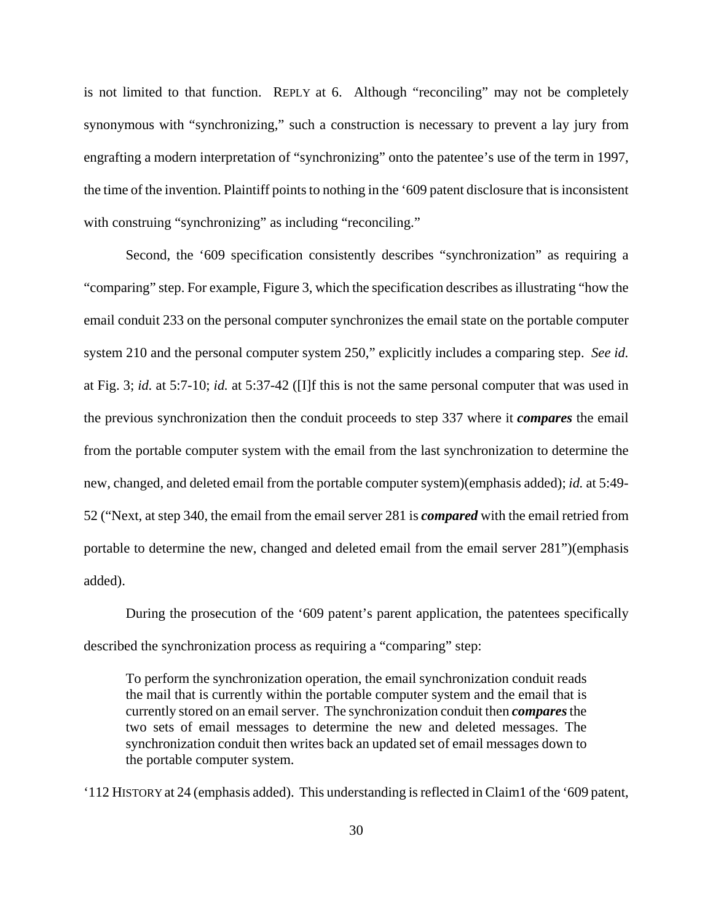is not limited to that function. REPLY at 6. Although "reconciling" may not be completely synonymous with "synchronizing," such a construction is necessary to prevent a lay jury from engrafting a modern interpretation of "synchronizing" onto the patentee's use of the term in 1997, the time of the invention. Plaintiff points to nothing in the '609 patent disclosure that is inconsistent with construing "synchronizing" as including "reconciling."

Second, the '609 specification consistently describes "synchronization" as requiring a "comparing" step. For example, Figure 3, which the specification describes as illustrating "how the email conduit 233 on the personal computer synchronizes the email state on the portable computer system 210 and the personal computer system 250," explicitly includes a comparing step. *See id.* at Fig. 3; *id.* at 5:7-10; *id.* at 5:37-42 ([I]f this is not the same personal computer that was used in the previous synchronization then the conduit proceeds to step 337 where it *compares* the email from the portable computer system with the email from the last synchronization to determine the new, changed, and deleted email from the portable computer system)(emphasis added); *id.* at 5:49- 52 ("Next, at step 340, the email from the email server 281 is *compared* with the email retried from portable to determine the new, changed and deleted email from the email server 281")(emphasis added).

During the prosecution of the '609 patent's parent application, the patentees specifically described the synchronization process as requiring a "comparing" step:

To perform the synchronization operation, the email synchronization conduit reads the mail that is currently within the portable computer system and the email that is currently stored on an email server. The synchronization conduit then *compares* the two sets of email messages to determine the new and deleted messages. The synchronization conduit then writes back an updated set of email messages down to the portable computer system.

'112 HISTORY at 24 (emphasis added). This understanding is reflected in Claim1 of the '609 patent,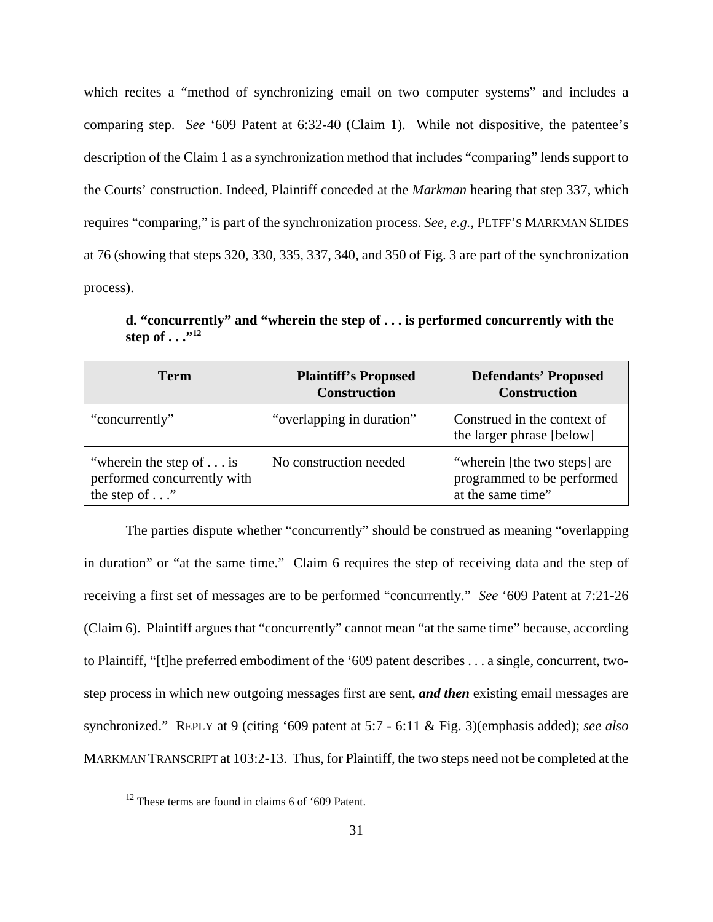which recites a "method of synchronizing email on two computer systems" and includes a comparing step. *See* '609 Patent at 6:32-40 (Claim 1). While not dispositive, the patentee's description of the Claim 1 as a synchronization method that includes "comparing" lends support to the Courts' construction. Indeed, Plaintiff conceded at the *Markman* hearing that step 337, which requires "comparing," is part of the synchronization process. *See, e.g.,* PLTFF'S MARKMAN SLIDES at 76 (showing that steps 320, 330, 335, 337, 340, and 350 of Fig. 3 are part of the synchronization process).

**d. "concurrently" and "wherein the step of . . . is performed concurrently with the**  step of . . .<sup>"12</sup>

| <b>Term</b>                                                                              | <b>Plaintiff's Proposed</b><br><b>Construction</b> | <b>Defendants' Proposed</b><br><b>Construction</b>                              |
|------------------------------------------------------------------------------------------|----------------------------------------------------|---------------------------------------------------------------------------------|
| "concurrently"                                                                           | "overlapping in duration"                          | Construed in the context of<br>the larger phrase [below]                        |
| "wherein the step of $\dots$ is<br>performed concurrently with<br>the step of $\ldots$ " | No construction needed                             | "wherein [the two steps] are<br>programmed to be performed<br>at the same time" |

The parties dispute whether "concurrently" should be construed as meaning "overlapping in duration" or "at the same time." Claim 6 requires the step of receiving data and the step of receiving a first set of messages are to be performed "concurrently." *See* '609 Patent at 7:21-26 (Claim 6). Plaintiff argues that "concurrently" cannot mean "at the same time" because, according to Plaintiff, "[t]he preferred embodiment of the '609 patent describes . . . a single, concurrent, twostep process in which new outgoing messages first are sent, *and then* existing email messages are synchronized." REPLY at 9 (citing '609 patent at 5:7 - 6:11 & Fig. 3)(emphasis added); *see also* MARKMAN TRANSCRIPT at 103:2-13. Thus, for Plaintiff, the two steps need not be completed at the

<sup>&</sup>lt;sup>12</sup> These terms are found in claims 6 of '609 Patent.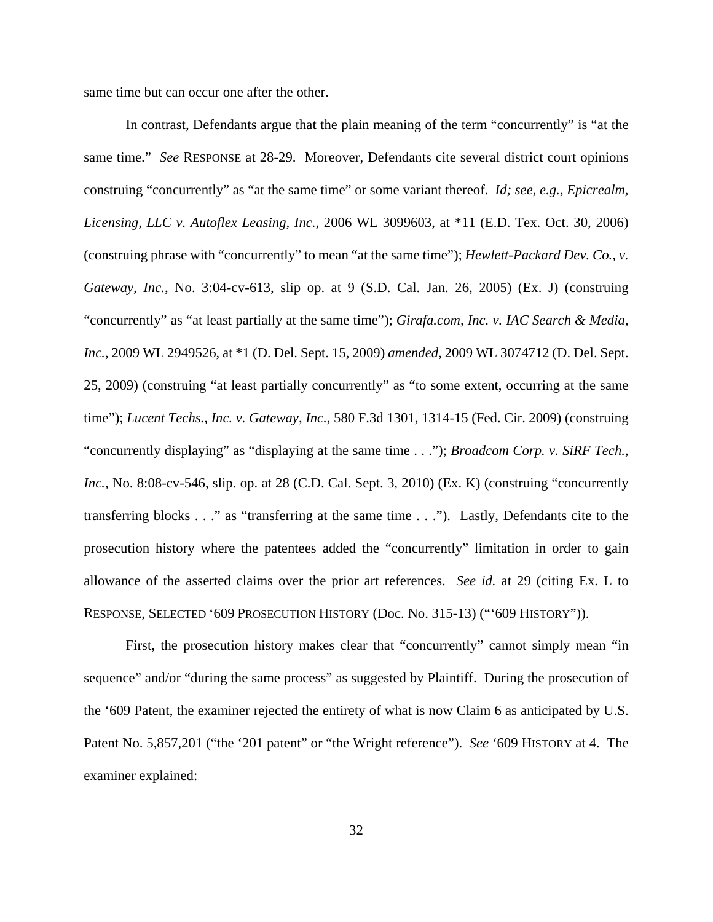same time but can occur one after the other.

In contrast, Defendants argue that the plain meaning of the term "concurrently" is "at the same time." *See* RESPONSE at 28-29. Moreover, Defendants cite several district court opinions construing "concurrently" as "at the same time" or some variant thereof. *Id; see*, *e.g.*, *Epicrealm, Licensing, LLC v. Autoflex Leasing, Inc.*, 2006 WL 3099603, at \*11 (E.D. Tex. Oct. 30, 2006) (construing phrase with "concurrently" to mean "at the same time"); *Hewlett-Packard Dev. Co., v. Gateway, Inc.*, No. 3:04-cv-613, slip op. at 9 (S.D. Cal. Jan. 26, 2005) (Ex. J) (construing "concurrently" as "at least partially at the same time"); *Girafa.com, Inc. v. IAC Search & Media, Inc.*, 2009 WL 2949526, at \*1 (D. Del. Sept. 15, 2009) *amended*, 2009 WL 3074712 (D. Del. Sept. 25, 2009) (construing "at least partially concurrently" as "to some extent, occurring at the same time"); *Lucent Techs., Inc. v. Gateway, Inc.*, 580 F.3d 1301, 1314-15 (Fed. Cir. 2009) (construing "concurrently displaying" as "displaying at the same time . . ."); *Broadcom Corp. v. SiRF Tech., Inc.*, No. 8:08-cv-546, slip. op. at 28 (C.D. Cal. Sept. 3, 2010) (Ex. K) (construing "concurrently transferring blocks . . ." as "transferring at the same time . . ."). Lastly, Defendants cite to the prosecution history where the patentees added the "concurrently" limitation in order to gain allowance of the asserted claims over the prior art references. *See id.* at 29 (citing Ex. L to RESPONSE, SELECTED '609 PROSECUTION HISTORY (Doc. No. 315-13) ("'609 HISTORY")).

First, the prosecution history makes clear that "concurrently" cannot simply mean "in sequence" and/or "during the same process" as suggested by Plaintiff. During the prosecution of the '609 Patent, the examiner rejected the entirety of what is now Claim 6 as anticipated by U.S. Patent No. 5,857,201 ("the '201 patent" or "the Wright reference"). *See* '609 HISTORY at 4. The examiner explained: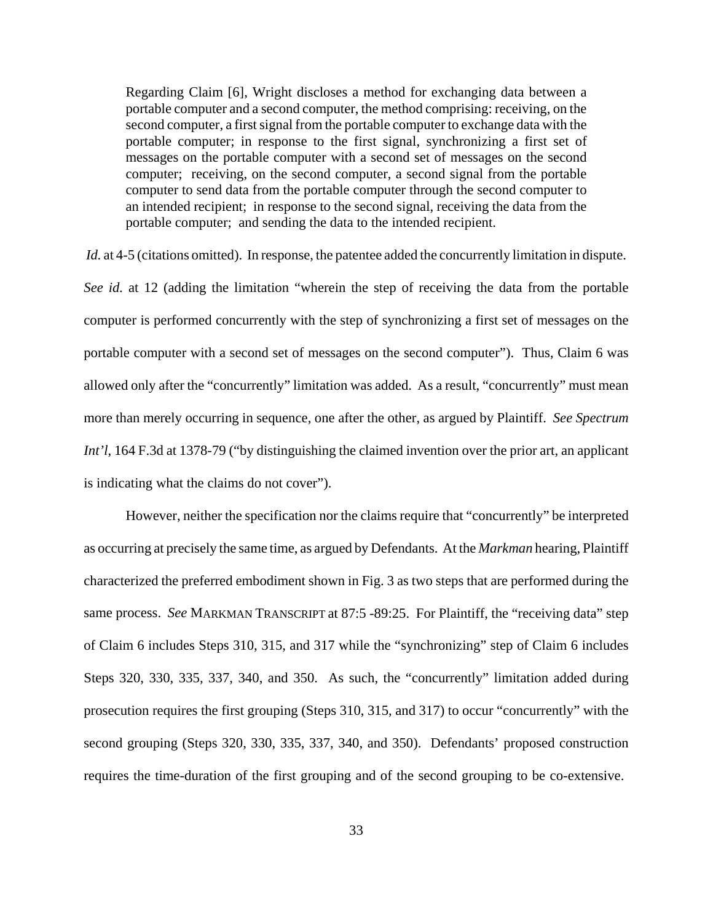Regarding Claim [6], Wright discloses a method for exchanging data between a portable computer and a second computer, the method comprising: receiving, on the second computer, a first signal from the portable computer to exchange data with the portable computer; in response to the first signal, synchronizing a first set of messages on the portable computer with a second set of messages on the second computer; receiving, on the second computer, a second signal from the portable computer to send data from the portable computer through the second computer to an intended recipient; in response to the second signal, receiving the data from the portable computer; and sending the data to the intended recipient.

*Id.* at 4-5 (citations omitted). In response, the patentee added the concurrently limitation in dispute.

*See id.* at 12 (adding the limitation "wherein the step of receiving the data from the portable computer is performed concurrently with the step of synchronizing a first set of messages on the portable computer with a second set of messages on the second computer"). Thus, Claim 6 was allowed only after the "concurrently" limitation was added. As a result, "concurrently" must mean more than merely occurring in sequence, one after the other, as argued by Plaintiff. *See Spectrum Int'l*, 164 F.3d at 1378-79 ("by distinguishing the claimed invention over the prior art, an applicant is indicating what the claims do not cover").

However, neither the specification nor the claims require that "concurrently" be interpreted as occurring at precisely the same time, as argued by Defendants. At the *Markman* hearing, Plaintiff characterized the preferred embodiment shown in Fig. 3 as two steps that are performed during the same process. *See* MARKMAN TRANSCRIPT at 87:5 -89:25. For Plaintiff, the "receiving data" step of Claim 6 includes Steps 310, 315, and 317 while the "synchronizing" step of Claim 6 includes Steps 320, 330, 335, 337, 340, and 350. As such, the "concurrently" limitation added during prosecution requires the first grouping (Steps 310, 315, and 317) to occur "concurrently" with the second grouping (Steps 320, 330, 335, 337, 340, and 350). Defendants' proposed construction requires the time-duration of the first grouping and of the second grouping to be co-extensive.